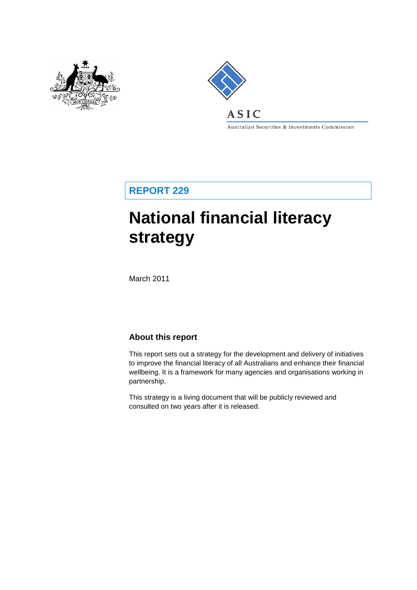



## **ASIC**

Australian Securities & Investments Commission

**REPORT 229**

# **National financial literacy strategy**

March 2011

### **About this report**

This report sets out a strategy for the development and delivery of initiatives to improve the financial literacy of all Australians and enhance their financial wellbeing. It is a framework for many agencies and organisations working in partnership.

This strategy is a living document that will be publicly reviewed and consulted on two years after it is released.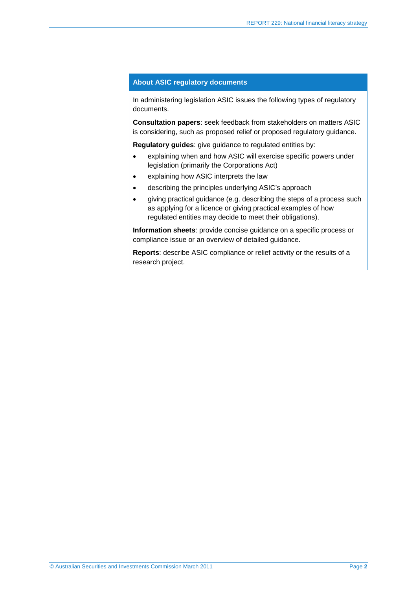#### **About ASIC regulatory documents**

In administering legislation ASIC issues the following types of regulatory documents.

**Consultation papers**: seek feedback from stakeholders on matters ASIC is considering, such as proposed relief or proposed regulatory guidance.

**Regulatory guides**: give guidance to regulated entities by:

- explaining when and how ASIC will exercise specific powers under legislation (primarily the Corporations Act)
- explaining how ASIC interprets the law
- describing the principles underlying ASIC's approach
- giving practical guidance (e.g. describing the steps of a process such as applying for a licence or giving practical examples of how regulated entities may decide to meet their obligations).

**Information sheets**: provide concise guidance on a specific process or compliance issue or an overview of detailed guidance.

**Reports**: describe ASIC compliance or relief activity or the results of a research project.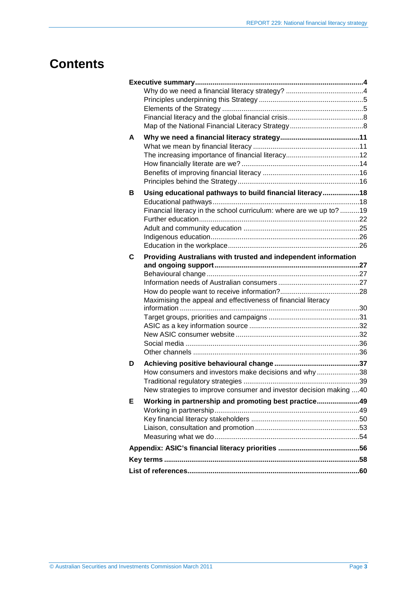## **Contents**

| A |                                                                    |  |
|---|--------------------------------------------------------------------|--|
|   |                                                                    |  |
|   |                                                                    |  |
|   |                                                                    |  |
|   |                                                                    |  |
|   |                                                                    |  |
| В | Using educational pathways to build financial literacy18           |  |
|   |                                                                    |  |
|   | Financial literacy in the school curriculum: where are we up to?19 |  |
|   |                                                                    |  |
|   |                                                                    |  |
|   |                                                                    |  |
|   |                                                                    |  |
| C | Providing Australians with trusted and independent information     |  |
|   |                                                                    |  |
|   |                                                                    |  |
|   |                                                                    |  |
|   | Maximising the appeal and effectiveness of financial literacy      |  |
|   |                                                                    |  |
|   |                                                                    |  |
|   |                                                                    |  |
|   |                                                                    |  |
|   |                                                                    |  |
|   |                                                                    |  |
| D |                                                                    |  |
|   | How consumers and investors make decisions and why38               |  |
|   |                                                                    |  |
|   | New strategies to improve consumer and investor decision making 40 |  |
| Е | Working in partnership and promoting best practice49               |  |
|   |                                                                    |  |
|   |                                                                    |  |
|   |                                                                    |  |
|   |                                                                    |  |
|   |                                                                    |  |
|   |                                                                    |  |
|   |                                                                    |  |
|   |                                                                    |  |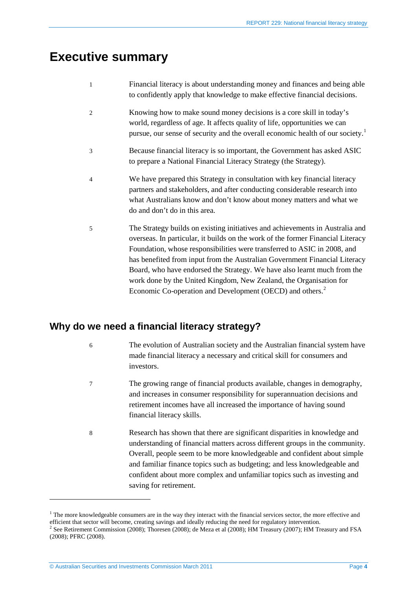## <span id="page-3-0"></span>**Executive summary**

| Financial literacy is about understanding money and finances and being able |
|-----------------------------------------------------------------------------|
| to confidently apply that knowledge to make effective financial decisions.  |

- 2 Knowing how to make sound money decisions is a core skill in today's world, regardless of age. It affects quality of life, opportunities we can pursue, our sense of security and the overall economic health of our society.<sup>[1](#page-3-2)</sup>
- 3 Because financial literacy is so important, the Government has asked ASIC to prepare a National Financial Literacy Strategy (the Strategy).
- 4 We have prepared this Strategy in consultation with key financial literacy partners and stakeholders, and after conducting considerable research into what Australians know and don't know about money matters and what we do and don't do in this area.
- 5 The Strategy builds on existing initiatives and achievements in Australia and overseas. In particular, it builds on the work of the former Financial Literacy Foundation, whose responsibilities were transferred to ASIC in 2008, and has benefited from input from the Australian Government Financial Literacy Board, who have endorsed the Strategy. We have also learnt much from the work done by the United Kingdom, New Zealand, the Organisation for Economic Co-operation and Development (OECD) and others.<sup>[2](#page-3-3)</sup>

### <span id="page-3-1"></span>**Why do we need a financial literacy strategy?**

- 6 The evolution of Australian society and the Australian financial system have made financial literacy a necessary and critical skill for consumers and investors.
- 7 The growing range of financial products available, changes in demography, and increases in consumer responsibility for superannuation decisions and retirement incomes have all increased the importance of having sound financial literacy skills.
- 8 Research has shown that there are significant disparities in knowledge and understanding of financial matters across different groups in the community. Overall, people seem to be more knowledgeable and confident about simple and familiar finance topics such as budgeting; and less knowledgeable and confident about more complex and unfamiliar topics such as investing and saving for retirement.

<span id="page-3-2"></span><sup>&</sup>lt;sup>1</sup> The more knowledgeable consumers are in the way they interact with the financial services sector, the more effective and efficient that sector will become, creating savings and ideally reducing the need for regulatory intervention.  $^2$  See Retirement Commission (2008); Thoresen (2008); de Meza et al (2008); HM Treasury (2007); HM Treasury and FSA

<span id="page-3-3"></span><sup>(2008);</sup> PFRC (2008).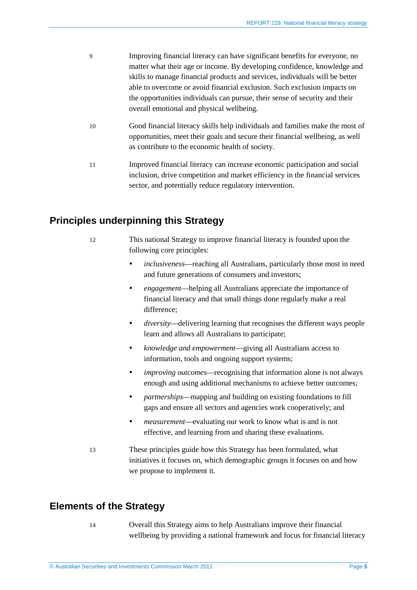- 9 Improving financial literacy can have significant benefits for everyone, no matter what their age or income. By developing confidence, knowledge and skills to manage financial products and services, individuals will be better able to overcome or avoid financial exclusion. Such exclusion impacts on the opportunities individuals can pursue, their sense of security and their overall emotional and physical wellbeing.
	- 10 Good financial literacy skills help individuals and families make the most of opportunities, meet their goals and secure their financial wellbeing, as well as contribute to the economic health of society.
- 11 Improved financial literacy can increase economic participation and social inclusion, drive competition and market efficiency in the financial services sector, and potentially reduce regulatory intervention.

### <span id="page-4-0"></span>**Principles underpinning this Strategy**

- 12 This national Strategy to improve financial literacy is founded upon the following core principles:
	- *inclusiveness*—reaching all Australians, particularly those most in need and future generations of consumers and investors;
	- *engagement*—helping all Australians appreciate the importance of financial literacy and that small things done regularly make a real difference;
	- *diversity*—delivering learning that recognises the different ways people learn and allows all Australians to participate;
	- *knowledge and empowerment*—giving all Australians access to information, tools and ongoing support systems;
	- *improving outcomes*—recognising that information alone is not always enough and using additional mechanisms to achieve better outcomes;
	- *partnerships*—mapping and building on existing foundations to fill gaps and ensure all sectors and agencies work cooperatively; and
	- *measurement*—evaluating our work to know what is and is not effective, and learning from and sharing these evaluations.
- 13 These principles guide how this Strategy has been formulated, what initiatives it focuses on, which demographic groups it focuses on and how we propose to implement it.

### <span id="page-4-1"></span>**Elements of the Strategy**

14 Overall this Strategy aims to help Australians improve their financial wellbeing by providing a national framework and focus for financial literacy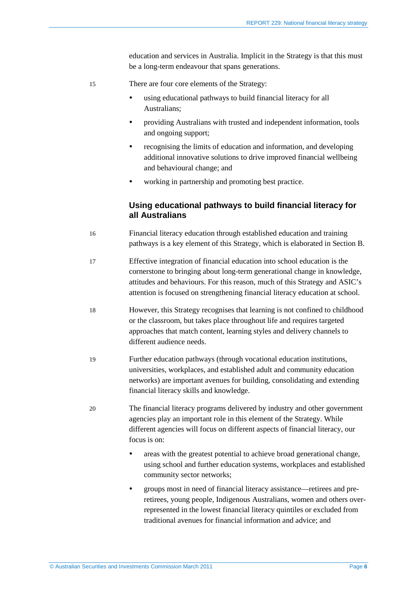education and services in Australia. Implicit in the Strategy is that this must be a long-term endeavour that spans generations.

- 15 There are four core elements of the Strategy:
	- using educational pathways to build financial literacy for all Australians;
	- providing Australians with trusted and independent information, tools and ongoing support;
	- recognising the limits of education and information, and developing additional innovative solutions to drive improved financial wellbeing and behavioural change; and
	- working in partnership and promoting best practice.

### **Using educational pathways to build financial literacy for all Australians**

- 16 Financial literacy education through established education and training pathways is a key element of this Strategy, which is elaborated in Sectio[n B.](#page-17-0)
- 17 Effective integration of financial education into school education is the cornerstone to bringing about long-term generational change in knowledge, attitudes and behaviours. For this reason, much of this Strategy and ASIC's attention is focused on strengthening financial literacy education at school.
- 18 However, this Strategy recognises that learning is not confined to childhood or the classroom, but takes place throughout life and requires targeted approaches that match content, learning styles and delivery channels to different audience needs.
- 19 Further education pathways (through vocational education institutions, universities, workplaces, and established adult and community education networks) are important avenues for building, consolidating and extending financial literacy skills and knowledge.
- 20 The financial literacy programs delivered by industry and other government agencies play an important role in this element of the Strategy. While different agencies will focus on different aspects of financial literacy, our focus is on:
	- areas with the greatest potential to achieve broad generational change, using school and further education systems, workplaces and established community sector networks;
	- groups most in need of financial literacy assistance—retirees and preretirees, young people, Indigenous Australians, women and others overrepresented in the lowest financial literacy quintiles or excluded from traditional avenues for financial information and advice; and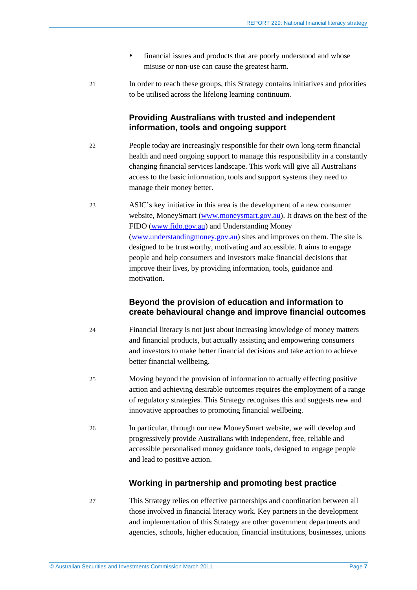- financial issues and products that are poorly understood and whose misuse or non-use can cause the greatest harm.
- 21 In order to reach these groups, this Strategy contains initiatives and priorities to be utilised across the lifelong learning continuum.

#### **Providing Australians with trusted and independent information, tools and ongoing support**

- 22 People today are increasingly responsible for their own long-term financial health and need ongoing support to manage this responsibility in a constantly changing financial services landscape. This work will give all Australians access to the basic information, tools and support systems they need to manage their money better.
- 23 ASIC's key initiative in this area is the development of a new consumer website, MoneySmart [\(www.moneysmart.gov.au\)](http://www.moneysmart.gov.au/). It draws on the best of the FIDO [\(www.fido.gov.au\)](http://www.fido.gov.au/) and Understanding Money [\(www.understandingmoney.gov.au\)](http://www.understandingmoney.gov.au/) sites and improves on them. The site is designed to be trustworthy, motivating and accessible. It aims to engage people and help consumers and investors make financial decisions that improve their lives, by providing information, tools, guidance and motivation.

#### **Beyond the provision of education and information to create behavioural change and improve financial outcomes**

- 24 Financial literacy is not just about increasing knowledge of money matters and financial products, but actually assisting and empowering consumers and investors to make better financial decisions and take action to achieve better financial wellbeing.
- 25 Moving beyond the provision of information to actually effecting positive action and achieving desirable outcomes requires the employment of a range of regulatory strategies. This Strategy recognises this and suggests new and innovative approaches to promoting financial wellbeing.
- 26 In particular, through our new MoneySmart website, we will develop and progressively provide Australians with independent, free, reliable and accessible personalised money guidance tools, designed to engage people and lead to positive action.

#### **Working in partnership and promoting best practice**

27 This Strategy relies on effective partnerships and coordination between all those involved in financial literacy work. Key partners in the development and implementation of this Strategy are other government departments and agencies, schools, higher education, financial institutions, businesses, unions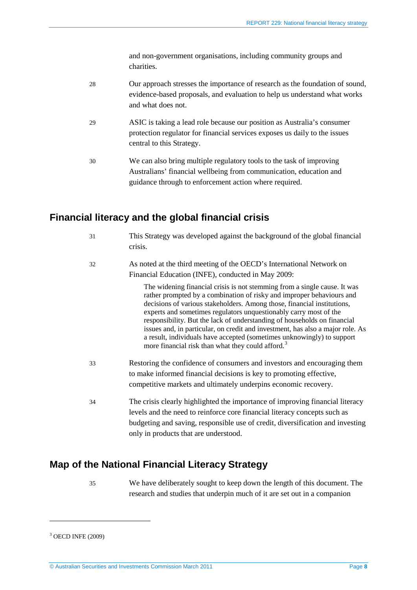and non-government organisations, including community groups and charities.

- 28 Our approach stresses the importance of research as the foundation of sound, evidence-based proposals, and evaluation to help us understand what works and what does not.
- 29 ASIC is taking a lead role because our position as Australia's consumer protection regulator for financial services exposes us daily to the issues central to this Strategy.
- 30 We can also bring multiple regulatory tools to the task of improving Australians' financial wellbeing from communication, education and guidance through to enforcement action where required.

### <span id="page-7-0"></span>**Financial literacy and the global financial crisis**

- 31 This Strategy was developed against the background of the global financial crisis.
- 32 As noted at the third meeting of the OECD's International Network on Financial Education (INFE), conducted in May 2009:

The widening financial crisis is not stemming from a single cause. It was rather prompted by a combination of risky and improper behaviours and decisions of various stakeholders. Among those, financial institutions, experts and sometimes regulators unquestionably carry most of the responsibility. But the lack of understanding of households on financial issues and, in particular, on credit and investment, has also a major role. As a result, individuals have accepted (sometimes unknowingly) to support more financial risk than what they could afford.<sup>[3](#page-7-2)</sup>

- 33 Restoring the confidence of consumers and investors and encouraging them to make informed financial decisions is key to promoting effective, competitive markets and ultimately underpins economic recovery.
- 34 The crisis clearly highlighted the importance of improving financial literacy levels and the need to reinforce core financial literacy concepts such as budgeting and saving, responsible use of credit, diversification and investing only in products that are understood.

### <span id="page-7-1"></span>**Map of the National Financial Literacy Strategy**

35 We have deliberately sought to keep down the length of this document. The research and studies that underpin much of it are set out in a companion

<span id="page-7-2"></span><sup>3</sup> OECD INFE (2009)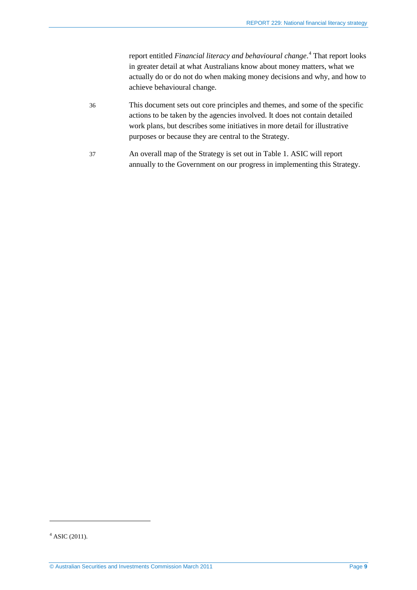report entitled *Financial literacy and behavioural change*. [4](#page-8-0) That report looks in greater detail at what Australians know about money matters, what we actually do or do not do when making money decisions and why, and how to achieve behavioural change.

- 36 This document sets out core principles and themes, and some of the specific actions to be taken by the agencies involved. It does not contain detailed work plans, but describes some initiatives in more detail for illustrative purposes or because they are central to the Strategy.
- 37 An overall map of the Strategy is set out in [Table 1.](#page-9-0) ASIC will report annually to the Government on our progress in implementing this Strategy.

<span id="page-8-0"></span> $4$  ASIC (2011).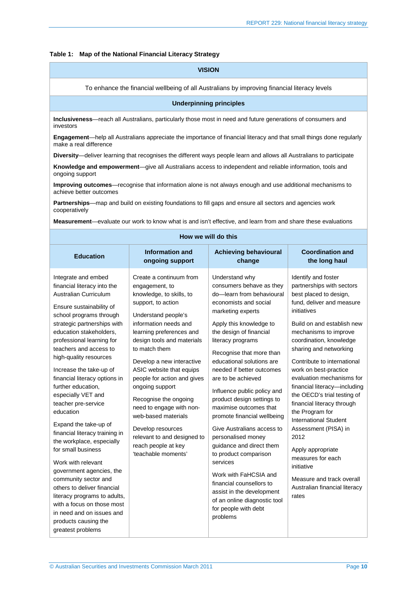#### <span id="page-9-0"></span>**Table 1: Map of the National Financial Literacy Strategy**

| Table 1: Map of the National Financial Literacy Strategy                                                                                                                                                                                                                                                                                                                                                                                                                                                                                                                                                                                                                                                                                           |                                                                                                                                                                                                                                                                                                                                                                                                                                                                                                                 |                                                                                                                                                                                                                                                                                                                                                                                                                                                                                                                                                                                                                                                                                                               |                                                                                                                                                                                                                                                                                                                                                                                                                                                                                                                                                                                                                                        |
|----------------------------------------------------------------------------------------------------------------------------------------------------------------------------------------------------------------------------------------------------------------------------------------------------------------------------------------------------------------------------------------------------------------------------------------------------------------------------------------------------------------------------------------------------------------------------------------------------------------------------------------------------------------------------------------------------------------------------------------------------|-----------------------------------------------------------------------------------------------------------------------------------------------------------------------------------------------------------------------------------------------------------------------------------------------------------------------------------------------------------------------------------------------------------------------------------------------------------------------------------------------------------------|---------------------------------------------------------------------------------------------------------------------------------------------------------------------------------------------------------------------------------------------------------------------------------------------------------------------------------------------------------------------------------------------------------------------------------------------------------------------------------------------------------------------------------------------------------------------------------------------------------------------------------------------------------------------------------------------------------------|----------------------------------------------------------------------------------------------------------------------------------------------------------------------------------------------------------------------------------------------------------------------------------------------------------------------------------------------------------------------------------------------------------------------------------------------------------------------------------------------------------------------------------------------------------------------------------------------------------------------------------------|
|                                                                                                                                                                                                                                                                                                                                                                                                                                                                                                                                                                                                                                                                                                                                                    | <b>VISION</b>                                                                                                                                                                                                                                                                                                                                                                                                                                                                                                   |                                                                                                                                                                                                                                                                                                                                                                                                                                                                                                                                                                                                                                                                                                               |                                                                                                                                                                                                                                                                                                                                                                                                                                                                                                                                                                                                                                        |
|                                                                                                                                                                                                                                                                                                                                                                                                                                                                                                                                                                                                                                                                                                                                                    | To enhance the financial wellbeing of all Australians by improving financial literacy levels                                                                                                                                                                                                                                                                                                                                                                                                                    |                                                                                                                                                                                                                                                                                                                                                                                                                                                                                                                                                                                                                                                                                                               |                                                                                                                                                                                                                                                                                                                                                                                                                                                                                                                                                                                                                                        |
|                                                                                                                                                                                                                                                                                                                                                                                                                                                                                                                                                                                                                                                                                                                                                    | <b>Underpinning principles</b>                                                                                                                                                                                                                                                                                                                                                                                                                                                                                  |                                                                                                                                                                                                                                                                                                                                                                                                                                                                                                                                                                                                                                                                                                               |                                                                                                                                                                                                                                                                                                                                                                                                                                                                                                                                                                                                                                        |
| investors                                                                                                                                                                                                                                                                                                                                                                                                                                                                                                                                                                                                                                                                                                                                          | Inclusiveness-reach all Australians, particularly those most in need and future generations of consumers and                                                                                                                                                                                                                                                                                                                                                                                                    |                                                                                                                                                                                                                                                                                                                                                                                                                                                                                                                                                                                                                                                                                                               |                                                                                                                                                                                                                                                                                                                                                                                                                                                                                                                                                                                                                                        |
| make a real difference                                                                                                                                                                                                                                                                                                                                                                                                                                                                                                                                                                                                                                                                                                                             | Engagement-help all Australians appreciate the importance of financial literacy and that small things done regularly                                                                                                                                                                                                                                                                                                                                                                                            |                                                                                                                                                                                                                                                                                                                                                                                                                                                                                                                                                                                                                                                                                                               |                                                                                                                                                                                                                                                                                                                                                                                                                                                                                                                                                                                                                                        |
|                                                                                                                                                                                                                                                                                                                                                                                                                                                                                                                                                                                                                                                                                                                                                    | Diversity-deliver learning that recognises the different ways people learn and allows all Australians to participate                                                                                                                                                                                                                                                                                                                                                                                            |                                                                                                                                                                                                                                                                                                                                                                                                                                                                                                                                                                                                                                                                                                               |                                                                                                                                                                                                                                                                                                                                                                                                                                                                                                                                                                                                                                        |
| ongoing support                                                                                                                                                                                                                                                                                                                                                                                                                                                                                                                                                                                                                                                                                                                                    | Knowledge and empowerment—give all Australians access to independent and reliable information, tools and                                                                                                                                                                                                                                                                                                                                                                                                        |                                                                                                                                                                                                                                                                                                                                                                                                                                                                                                                                                                                                                                                                                                               |                                                                                                                                                                                                                                                                                                                                                                                                                                                                                                                                                                                                                                        |
| achieve better outcomes                                                                                                                                                                                                                                                                                                                                                                                                                                                                                                                                                                                                                                                                                                                            | Improving outcomes-recognise that information alone is not always enough and use additional mechanisms to                                                                                                                                                                                                                                                                                                                                                                                                       |                                                                                                                                                                                                                                                                                                                                                                                                                                                                                                                                                                                                                                                                                                               |                                                                                                                                                                                                                                                                                                                                                                                                                                                                                                                                                                                                                                        |
| cooperatively                                                                                                                                                                                                                                                                                                                                                                                                                                                                                                                                                                                                                                                                                                                                      | Partnerships-map and build on existing foundations to fill gaps and ensure all sectors and agencies work                                                                                                                                                                                                                                                                                                                                                                                                        |                                                                                                                                                                                                                                                                                                                                                                                                                                                                                                                                                                                                                                                                                                               |                                                                                                                                                                                                                                                                                                                                                                                                                                                                                                                                                                                                                                        |
|                                                                                                                                                                                                                                                                                                                                                                                                                                                                                                                                                                                                                                                                                                                                                    | Measurement—evaluate our work to know what is and isn't effective, and learn from and share these evaluations                                                                                                                                                                                                                                                                                                                                                                                                   |                                                                                                                                                                                                                                                                                                                                                                                                                                                                                                                                                                                                                                                                                                               |                                                                                                                                                                                                                                                                                                                                                                                                                                                                                                                                                                                                                                        |
|                                                                                                                                                                                                                                                                                                                                                                                                                                                                                                                                                                                                                                                                                                                                                    | How we will do this                                                                                                                                                                                                                                                                                                                                                                                                                                                                                             |                                                                                                                                                                                                                                                                                                                                                                                                                                                                                                                                                                                                                                                                                                               |                                                                                                                                                                                                                                                                                                                                                                                                                                                                                                                                                                                                                                        |
| <b>Education</b>                                                                                                                                                                                                                                                                                                                                                                                                                                                                                                                                                                                                                                                                                                                                   | <b>Information and</b><br>ongoing support                                                                                                                                                                                                                                                                                                                                                                                                                                                                       | <b>Achieving behavioural</b><br>change                                                                                                                                                                                                                                                                                                                                                                                                                                                                                                                                                                                                                                                                        | <b>Coordination and</b><br>the long haul                                                                                                                                                                                                                                                                                                                                                                                                                                                                                                                                                                                               |
| Integrate and embed<br>financial literacy into the<br><b>Australian Curriculum</b><br>Ensure sustainability of<br>school programs through<br>strategic partnerships with<br>education stakeholders,<br>professional learning for<br>teachers and access to<br>high-quality resources<br>Increase the take-up of<br>financial literacy options in<br>further education,<br>especially VET and<br>teacher pre-service<br>education<br>Expand the take-up of<br>financial literacy training in<br>the workplace, especially<br>for small business<br>Work with relevant<br>government agencies, the<br>community sector and<br>others to deliver financial<br>literacy programs to adults,<br>with a focus on those most<br>in need and on issues and | Create a continuum from<br>engagement, to<br>knowledge, to skills, to<br>support, to action<br>Understand people's<br>information needs and<br>learning preferences and<br>design tools and materials<br>to match them<br>Develop a new interactive<br>ASIC website that equips<br>people for action and gives<br>ongoing support<br>Recognise the ongoing<br>need to engage with non-<br>web-based materials<br>Develop resources<br>relevant to and designed to<br>reach people at key<br>'teachable moments' | Understand why<br>consumers behave as they<br>do-learn from behavioural<br>economists and social<br>marketing experts<br>Apply this knowledge to<br>the design of financial<br>literacy programs<br>Recognise that more than<br>educational solutions are<br>needed if better outcomes<br>are to be achieved<br>Influence public policy and<br>product design settings to<br>maximise outcomes that<br>promote financial wellbeing<br>Give Australians access to<br>personalised money<br>guidance and direct them<br>to product comparison<br>services<br>Work with FaHCSIA and<br>financial counsellors to<br>assist in the development<br>of an online diagnostic tool<br>for people with debt<br>problems | Identify and foster<br>partnerships with sectors<br>best placed to design,<br>fund, deliver and measure<br>initiatives<br>Build on and establish new<br>mechanisms to improve<br>coordination, knowledge<br>sharing and networking<br>Contribute to international<br>work on best-practice<br>evaluation mechanisms for<br>financial literacy-including<br>the OECD's trial testing of<br>financial literacy through<br>the Program for<br><b>International Student</b><br>Assessment (PISA) in<br>2012<br>Apply appropriate<br>measures for each<br>initiative<br>Measure and track overall<br>Australian financial literacy<br>rates |

greatest problems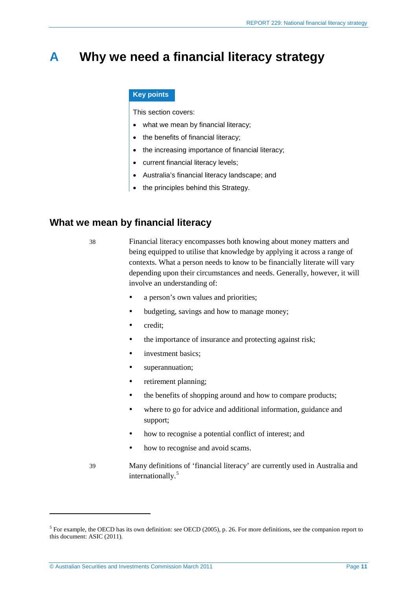## <span id="page-10-0"></span>**A Why we need a financial literacy strategy**

#### **Key points**

This section covers:

- what we mean by financial literacy;
- the benefits of financial literacy;
- the increasing importance of financial literacy;
- current financial literacy levels;
- Australia's financial literacy landscape; and
- the principles behind this Strategy.

### <span id="page-10-1"></span>**What we mean by financial literacy**

38 Financial literacy encompasses both knowing about money matters and being equipped to utilise that knowledge by applying it across a range of contexts. What a person needs to know to be financially literate will vary depending upon their circumstances and needs. Generally, however, it will involve an understanding of:

- a person's own values and priorities;
- budgeting, savings and how to manage money;
- credit:
- the importance of insurance and protecting against risk;
- investment basics;
- superannuation;
- retirement planning;
- the benefits of shopping around and how to compare products;
- where to go for advice and additional information, guidance and support;
- how to recognise a potential conflict of interest; and
- how to recognise and avoid scams.
- 39 Many definitions of 'financial literacy' are currently used in Australia and internationally.<sup>[5](#page-10-2)</sup>

<span id="page-10-2"></span><sup>&</sup>lt;sup>5</sup> For example, the OECD has its own definition: see OECD (2005), p. 26. For more definitions, see the companion report to this document: ASIC (2011).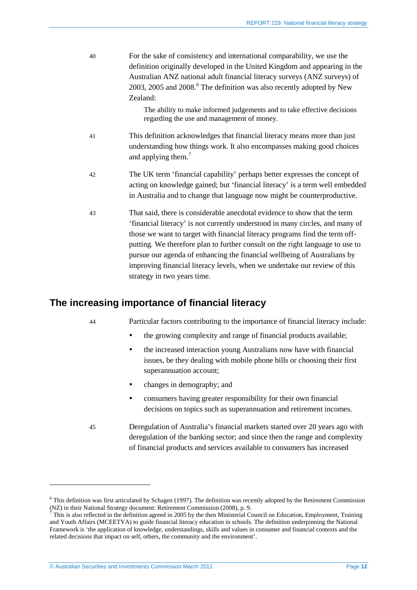| 40 | For the sake of consistency and international comparability, we use the<br>definition originally developed in the United Kingdom and appearing in the<br>Australian ANZ national adult financial literacy surveys (ANZ surveys) of<br>2003, 2005 and 2008. <sup>6</sup> The definition was also recently adopted by New<br>Zealand:                                                                                                                                                 |
|----|-------------------------------------------------------------------------------------------------------------------------------------------------------------------------------------------------------------------------------------------------------------------------------------------------------------------------------------------------------------------------------------------------------------------------------------------------------------------------------------|
|    | The ability to make informed judgements and to take effective decisions<br>regarding the use and management of money.                                                                                                                                                                                                                                                                                                                                                               |
| 41 | This definition acknowledges that financial literacy means more than just<br>understanding how things work. It also encompasses making good choices<br>and applying them. <sup>7</sup>                                                                                                                                                                                                                                                                                              |
| 42 | The UK term 'financial capability' perhaps better expresses the concept of<br>acting on knowledge gained; but 'financial literacy' is a term well embedded<br>in Australia and to change that language now might be counterproductive.                                                                                                                                                                                                                                              |
| 43 | That said, there is considerable anecdotal evidence to show that the term<br>'financial literacy' is not currently understood in many circles, and many of<br>those we want to target with financial literacy programs find the term off-<br>putting. We therefore plan to further consult on the right language to use to<br>pursue our agenda of enhancing the financial wellbeing of Australians by<br>improving financial literacy levels, when we undertake our review of this |

### <span id="page-11-0"></span>**The increasing importance of financial literacy**

strategy in two years time.

<u>.</u>

44 Particular factors contributing to the importance of financial literacy include:

- the growing complexity and range of financial products available;
- the increased interaction young Australians now have with financial issues, be they dealing with mobile phone bills or choosing their first superannuation account;
- changes in demography; and
- consumers having greater responsibility for their own financial decisions on topics such as superannuation and retirement incomes.
- 45 Deregulation of Australia's financial markets started over 20 years ago with deregulation of the banking sector; and since then the range and complexity of financial products and services available to consumers has increased

<span id="page-11-1"></span><sup>&</sup>lt;sup>6</sup> This definition was first articulated by Schagen (1997). The definition was recently adopted by the Retirement Commission (NZ) in their National Strategy document: Retirement Commission (2008), p. 9.

<span id="page-11-2"></span> $<sup>7</sup>$  This is also reflected in the definition agreed in 2005 by the then Ministerial Council on Education, Employment, Training</sup> and Youth Affairs (MCEETYA) to guide financial literacy education in schools. The definition underpinning the National Framework is 'the application of knowledge, understandings, skills and values in consumer and financial contexts and the related decisions that impact on self, others, the community and the environment'.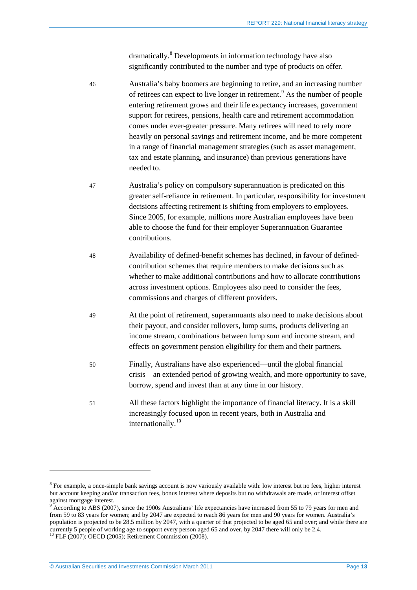dramatically.<sup>[8](#page-12-0)</sup> Developments in information technology have also significantly contributed to the number and type of products on offer.

- 46 Australia's baby boomers are beginning to retire, and an increasing number of retirees can expect to live longer in retirement. [9](#page-12-1) As the number of people entering retirement grows and their life expectancy increases, government support for retirees, pensions, health care and retirement accommodation comes under ever-greater pressure. Many retirees will need to rely more heavily on personal savings and retirement income, and be more competent in a range of financial management strategies (such as asset management, tax and estate planning, and insurance) than previous generations have needed to.
- 47 Australia's policy on compulsory superannuation is predicated on this greater self-reliance in retirement. In particular, responsibility for investment decisions affecting retirement is shifting from employers to employees. Since 2005, for example, millions more Australian employees have been able to choose the fund for their employer Superannuation Guarantee contributions.
- 48 Availability of defined-benefit schemes has declined, in favour of definedcontribution schemes that require members to make decisions such as whether to make additional contributions and how to allocate contributions across investment options. Employees also need to consider the fees, commissions and charges of different providers.
- 49 At the point of retirement, superannuants also need to make decisions about their payout, and consider rollovers, lump sums, products delivering an income stream, combinations between lump sum and income stream, and effects on government pension eligibility for them and their partners.
- 50 Finally, Australians have also experienced—until the global financial crisis—an extended period of growing wealth, and more opportunity to save, borrow, spend and invest than at any time in our history.
- 51 All these factors highlight the importance of financial literacy. It is a skill increasingly focused upon in recent years, both in Australia and internationally.<sup>[10](#page-12-2)</sup>

<span id="page-12-0"></span><sup>8</sup> For example, a once-simple bank savings account is now variously available with: low interest but no fees, higher interest but account keeping and/or transaction fees, bonus interest where deposits but no withdrawals are made, or interest offset against mortgage interest.

<span id="page-12-2"></span><span id="page-12-1"></span><sup>9</sup> According to ABS (2007), since the 1900s Australians' life expectancies have increased from 55 to 79 years for men and from 59 to 83 years for women; and by 2047 are expected to reach 86 years for men and 90 years for women. Australia's population is projected to be 28.5 million by 2047, with a quarter of that projected to be aged 65 and over; and while there are currently 5 people of working age to support every person aged 65 and over, by 2047 there will only be 2.4. <sup>10</sup> FLF (2007); OECD (2005); Retirement Commission (2008).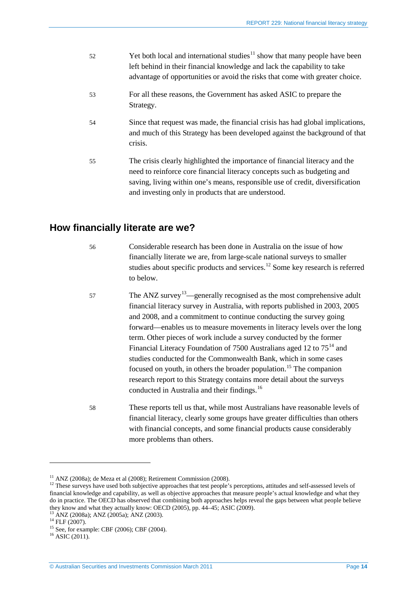- $52$  Yet both local and international studies<sup>[11](#page-13-1)</sup> show that many people have been left behind in their financial knowledge and lack the capability to take advantage of opportunities or avoid the risks that come with greater choice.
- 53 For all these reasons, the Government has asked ASIC to prepare the Strategy.
- 54 Since that request was made, the financial crisis has had global implications, and much of this Strategy has been developed against the background of that crisis.
- 55 The crisis clearly highlighted the importance of financial literacy and the need to reinforce core financial literacy concepts such as budgeting and saving, living within one's means, responsible use of credit, diversification and investing only in products that are understood.

### <span id="page-13-0"></span>**How financially literate are we?**

- 56 Considerable research has been done in Australia on the issue of how financially literate we are, from large-scale national surveys to smaller studies about specific products and services. $12$  Some key research is referred to below.
- $57$  The ANZ survey<sup>[13](#page-13-3)</sup>—generally recognised as the most comprehensive adult financial literacy survey in Australia, with reports published in 2003, 2005 and 2008, and a commitment to continue conducting the survey going forward—enables us to measure movements in literacy levels over the long term. Other pieces of work include a survey conducted by the former Financial Literacy Foundation of 7500 Australians aged 12 to  $75^{14}$  $75^{14}$  $75^{14}$  and studies conducted for the Commonwealth Bank, which in some cases focused on youth, in others the broader population.<sup>[15](#page-13-5)</sup> The companion research report to this Strategy contains more detail about the surveys conducted in Australia and their findings.<sup>[16](#page-13-6)</sup>
- 58 These reports tell us that, while most Australians have reasonable levels of financial literacy, clearly some groups have greater difficulties than others with financial concepts, and some financial products cause considerably more problems than others.

<span id="page-13-2"></span><span id="page-13-1"></span><sup>&</sup>lt;sup>11</sup> ANZ (2008a); de Meza et al (2008); Retirement Commission (2008).<br><sup>12</sup> These surveys have used both subjective approaches that test people's perceptions, attitudes and self-assessed levels of financial knowledge and capability, as well as objective approaches that measure people's actual knowledge and what they do in practice. The OECD has observed that combining both approaches helps reveal the gaps between what people believe they know and what they actually know: OECD (2005), pp. 44–45; ASIC (2009).<br>
<sup>13</sup> ANZ (2008a); ANZ (2005a); ANZ (2003).<br>
<sup>14</sup> FLF (2007).<br>
<sup>15</sup> See, for example: CBF (2006); CBF (2004).<br>
<sup>16</sup> ASIC (2011).

<span id="page-13-3"></span>

<span id="page-13-4"></span>

<span id="page-13-6"></span><span id="page-13-5"></span>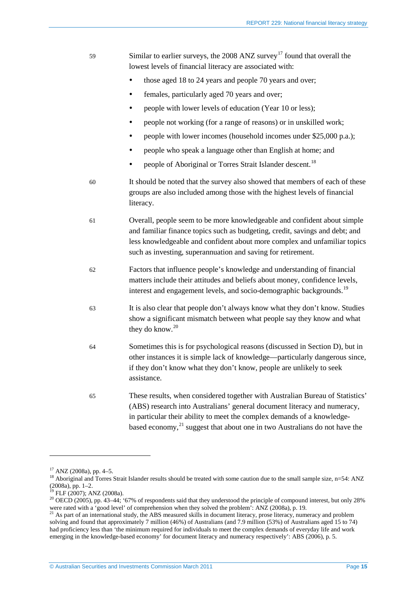| 59 | Similar to earlier surveys, the 2008 ANZ survey <sup>17</sup> found that overall the<br>lowest levels of financial literacy are associated with:                                                                                                                                                                               |
|----|--------------------------------------------------------------------------------------------------------------------------------------------------------------------------------------------------------------------------------------------------------------------------------------------------------------------------------|
|    | those aged 18 to 24 years and people 70 years and over;<br>$\bullet$                                                                                                                                                                                                                                                           |
|    | females, particularly aged 70 years and over;                                                                                                                                                                                                                                                                                  |
|    | people with lower levels of education (Year 10 or less);                                                                                                                                                                                                                                                                       |
|    | people not working (for a range of reasons) or in unskilled work;<br>٠                                                                                                                                                                                                                                                         |
|    | people with lower incomes (household incomes under \$25,000 p.a.);<br>٠                                                                                                                                                                                                                                                        |
|    | people who speak a language other than English at home; and                                                                                                                                                                                                                                                                    |
|    | people of Aboriginal or Torres Strait Islander descent. <sup>18</sup><br>٠                                                                                                                                                                                                                                                     |
| 60 | It should be noted that the survey also showed that members of each of these<br>groups are also included among those with the highest levels of financial<br>literacy.                                                                                                                                                         |
| 61 | Overall, people seem to be more knowledgeable and confident about simple<br>and familiar finance topics such as budgeting, credit, savings and debt; and<br>less knowledgeable and confident about more complex and unfamiliar topics<br>such as investing, superannuation and saving for retirement.                          |
| 62 | Factors that influence people's knowledge and understanding of financial<br>matters include their attitudes and beliefs about money, confidence levels,<br>interest and engagement levels, and socio-demographic backgrounds. <sup>19</sup>                                                                                    |
| 63 | It is also clear that people don't always know what they don't know. Studies<br>show a significant mismatch between what people say they know and what<br>they do know. $^{20}$                                                                                                                                                |
| 64 | Sometimes this is for psychological reasons (discussed in Section D), but in<br>other instances it is simple lack of knowledge—particularly dangerous since,<br>if they don't know what they don't know, people are unlikely to seek<br>assistance.                                                                            |
| 65 | These results, when considered together with Australian Bureau of Statistics'<br>(ABS) research into Australians' general document literacy and numeracy,<br>in particular their ability to meet the complex demands of a knowledge-<br>based economy, <sup>21</sup> suggest that about one in two Australians do not have the |

 $17$  ANZ (2008a), pp. 4-5.

<span id="page-14-1"></span><span id="page-14-0"></span><sup>&</sup>lt;sup>18</sup> Aboriginal and Torres Strait Islander results should be treated with some caution due to the small sample size, n=54: ANZ (2008a), pp. 1–2.<br>(2008a), pp. 1–2.<br><sup>19</sup> FLF (2007); ANZ (2008a). (2008a), pp. 1–2.<br><sup>19</sup> FLF (2007); ANZ (2008a).<br><sup>20</sup> OECD (2005), pp. 43–44; '67% of respondents said that they understood the principle of compound interest, but only 28%

<span id="page-14-3"></span><span id="page-14-2"></span>were rated with a 'good level' of comprehension when they solved the problem': ANZ (2008a), p. 19.  $^{21}$  As part of an international study, the ABS measured skills in document literacy, prose literacy, numeracy and probl

<span id="page-14-4"></span>solving and found that approximately 7 million (46%) of Australians (and 7.9 million (53%) of Australians aged 15 to 74) had proficiency less than 'the minimum required for individuals to meet the complex demands of everyday life and work emerging in the knowledge-based economy' for document literacy and numeracy respectively': ABS (2006), p. 5.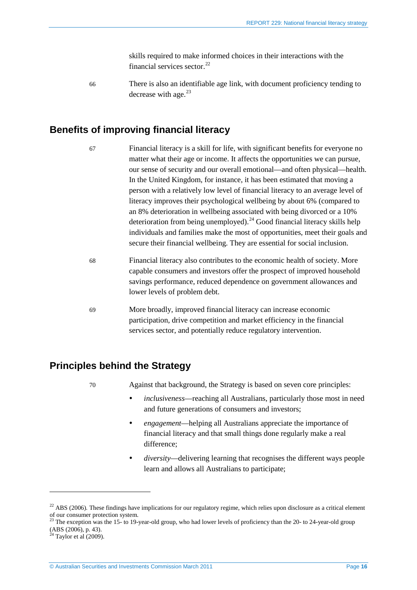skills required to make informed choices in their interactions with the financial services sector. $^{22}$  $^{22}$  $^{22}$ 

66 There is also an identifiable age link, with document proficiency tending to decrease with age. $^{23}$  $^{23}$  $^{23}$ 

### <span id="page-15-0"></span>**Benefits of improving financial literacy**

- 67 Financial literacy is a skill for life, with significant benefits for everyone no matter what their age or income. It affects the opportunities we can pursue, our sense of security and our overall emotional—and often physical—health. In the United Kingdom, for instance, it has been estimated that moving a person with a relatively low level of financial literacy to an average level of literacy improves their psychological wellbeing by about 6% (compared to an 8% deterioration in wellbeing associated with being divorced or a 10% deterioration from being unemployed).<sup>[24](#page-15-4)</sup> Good financial literacy skills help individuals and families make the most of opportunities, meet their goals and secure their financial wellbeing. They are essential for social inclusion.
- 68 Financial literacy also contributes to the economic health of society. More capable consumers and investors offer the prospect of improved household savings performance, reduced dependence on government allowances and lower levels of problem debt.
- 69 More broadly, improved financial literacy can increase economic participation, drive competition and market efficiency in the financial services sector, and potentially reduce regulatory intervention.

### <span id="page-15-1"></span>**Principles behind the Strategy**

70 Against that background, the Strategy is based on seven core principles:

- *inclusiveness*—reaching all Australians, particularly those most in need and future generations of consumers and investors;
- *engagement*—helping all Australians appreciate the importance of financial literacy and that small things done regularly make a real difference;
- *diversity*—delivering learning that recognises the different ways people learn and allows all Australians to participate;

<span id="page-15-2"></span><sup>&</sup>lt;sup>22</sup> ABS (2006). These findings have implications for our regulatory regime, which relies upon disclosure as a critical element of our consumer protection system.

<span id="page-15-3"></span><sup>&</sup>lt;sup>23</sup> The exception was the 15- to 19-year-old group, who had lower levels of proficiency than the 20- to 24-year-old group (ABS (2006), p. 43).

<span id="page-15-4"></span> $24$  Taylor et al (2009).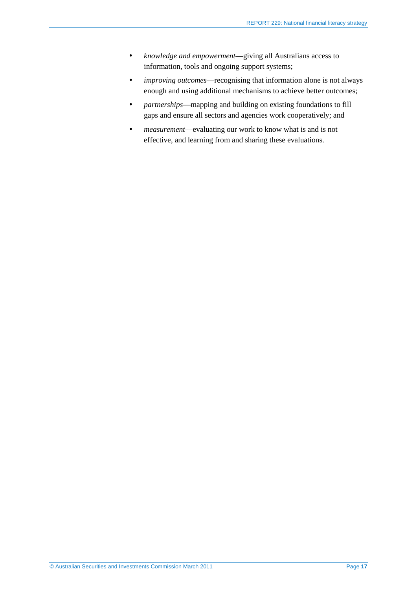- *knowledge and empowerment*—giving all Australians access to information, tools and ongoing support systems;
- *improving outcomes*—recognising that information alone is not always enough and using additional mechanisms to achieve better outcomes;
- *partnerships*—mapping and building on existing foundations to fill gaps and ensure all sectors and agencies work cooperatively; and
- *measurement*—evaluating our work to know what is and is not effective, and learning from and sharing these evaluations.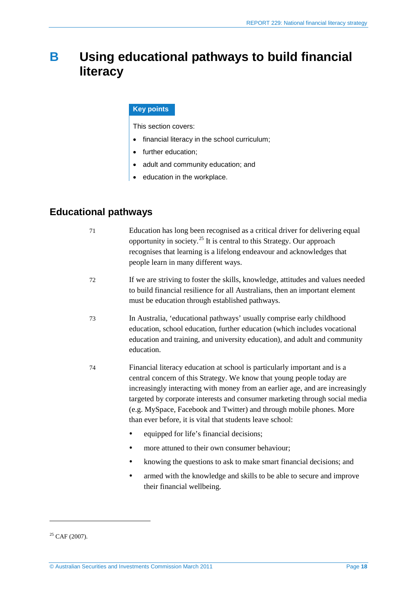## <span id="page-17-0"></span>**B Using educational pathways to build financial literacy**

#### **Key points**

This section covers:

- financial literacy in the school curriculum;
- further education;
- adult and community education; and
- education in the workplace.

### <span id="page-17-1"></span>**Educational pathways**

| 71 | Education has long been recognised as a critical driver for delivering equal<br>opportunity in society. <sup>25</sup> It is central to this Strategy. Our approach<br>recognises that learning is a lifelong endeavour and acknowledges that<br>people learn in many different ways.                                                                                                                                                                    |
|----|---------------------------------------------------------------------------------------------------------------------------------------------------------------------------------------------------------------------------------------------------------------------------------------------------------------------------------------------------------------------------------------------------------------------------------------------------------|
| 72 | If we are striving to foster the skills, knowledge, attitudes and values needed<br>to build financial resilience for all Australians, then an important element<br>must be education through established pathways.                                                                                                                                                                                                                                      |
| 73 | In Australia, 'educational pathways' usually comprise early childhood<br>education, school education, further education (which includes vocational<br>education and training, and university education), and adult and community<br>education.                                                                                                                                                                                                          |
| 74 | Financial literacy education at school is particularly important and is a<br>central concern of this Strategy. We know that young people today are<br>increasingly interacting with money from an earlier age, and are increasingly<br>targeted by corporate interests and consumer marketing through social media<br>(e.g. MySpace, Facebook and Twitter) and through mobile phones. More<br>than ever before, it is vital that students leave school: |
|    | equipped for life's financial decisions;                                                                                                                                                                                                                                                                                                                                                                                                                |
|    | more attuned to their own consumer behaviour;<br>٠                                                                                                                                                                                                                                                                                                                                                                                                      |
|    | knowing the questions to ask to make smart financial decisions; and<br>٠                                                                                                                                                                                                                                                                                                                                                                                |
|    | armed with the knowledge and skills to be able to secure and improve<br>٠<br>their financial wellbeing.                                                                                                                                                                                                                                                                                                                                                 |

<span id="page-17-2"></span> $25$  CAF (2007).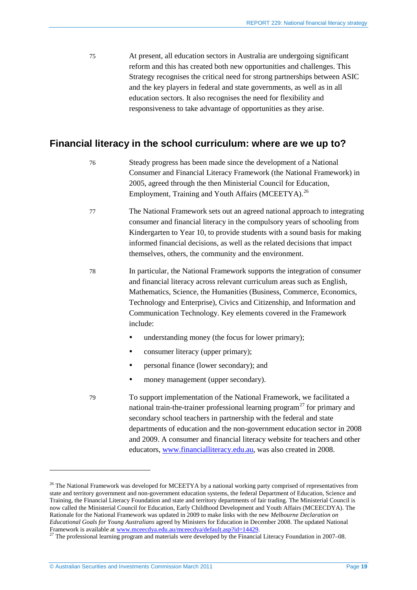75 At present, all education sectors in Australia are undergoing significant reform and this has created both new opportunities and challenges. This Strategy recognises the critical need for strong partnerships between ASIC and the key players in federal and state governments, as well as in all education sectors. It also recognises the need for flexibility and responsiveness to take advantage of opportunities as they arise.

### <span id="page-18-0"></span>**Financial literacy in the school curriculum: where are we up to?**

- 76 Steady progress has been made since the development of a National Consumer and Financial Literacy Framework (the National Framework) in 2005, agreed through the then Ministerial Council for Education, Employment, Training and Youth Affairs (MCEETYA).<sup>[26](#page-18-1)</sup>
- 77 The National Framework sets out an agreed national approach to integrating consumer and financial literacy in the compulsory years of schooling from Kindergarten to Year 10, to provide students with a sound basis for making informed financial decisions, as well as the related decisions that impact themselves, others, the community and the environment.
- 78 In particular, the National Framework supports the integration of consumer and financial literacy across relevant curriculum areas such as English, Mathematics, Science, the Humanities (Business, Commerce, Economics, Technology and Enterprise), Civics and Citizenship, and Information and Communication Technology. Key elements covered in the Framework include:
	- understanding money (the focus for lower primary);
	- consumer literacy (upper primary);
	- personal finance (lower secondary); and
	- money management (upper secondary).
- 79 To support implementation of the National Framework, we facilitated a national train-the-trainer professional learning program<sup>[27](#page-18-2)</sup> for primary and secondary school teachers in partnership with the federal and state departments of education and the non-government education sector in 2008 and 2009. A consumer and financial literacy website for teachers and other educators, [www.financialliteracy.edu.au,](http://www.financialliteracy.edu.au/) was also created in 2008.

<span id="page-18-1"></span><sup>&</sup>lt;sup>26</sup> The National Framework was developed for MCEETYA by a national working party comprised of representatives from state and territory government and non-government education systems, the federal Department of Education, Science and Training, the Financial Literacy Foundation and state and territory departments of fair trading. The Ministerial Council is now called the Ministerial Council for Education, Early Childhood Development and Youth Affairs (MCEECDYA). The Rationale for the National Framework was updated in 2009 to make links with the new *Melbourne Declaration on Educational Goals for Young Australians* agreed by Ministers for Education in December 2008. The updated National Framework is available a[t www.mceecdya.edu.au/mceecdya/default.asp?id=14429.](http://www.mceecdya.edu.au/mceecdya/default.asp?id=14429)<br><sup>27</sup> The professional learning program and materials were developed by the Financial Literacy Foundation in 2007–08.

<span id="page-18-2"></span>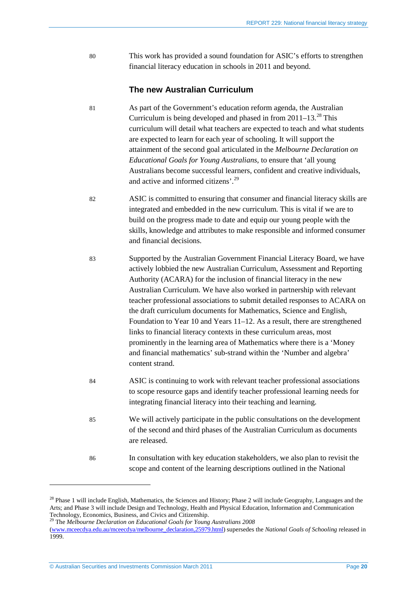80 This work has provided a sound foundation for ASIC's efforts to strengthen financial literacy education in schools in 2011 and beyond.

#### **The new Australian Curriculum**

- 81 As part of the Government's education reform agenda, the Australian Curriculum is being developed and phased in from 2011–13. [28](#page-19-0) This curriculum will detail what teachers are expected to teach and what students are expected to learn for each year of schooling. It will support the attainment of the second goal articulated in the *Melbourne Declaration on Educational Goals for Young Australians*, to ensure that 'all young Australians become successful learners, confident and creative individuals, and active and informed citizens'.<sup>[29](#page-19-1)</sup>
- 82 ASIC is committed to ensuring that consumer and financial literacy skills are integrated and embedded in the new curriculum. This is vital if we are to build on the progress made to date and equip our young people with the skills, knowledge and attributes to make responsible and informed consumer and financial decisions.
- 83 Supported by the Australian Government Financial Literacy Board, we have actively lobbied the new Australian Curriculum, Assessment and Reporting Authority (ACARA) for the inclusion of financial literacy in the new Australian Curriculum. We have also worked in partnership with relevant teacher professional associations to submit detailed responses to ACARA on the draft curriculum documents for Mathematics, Science and English, Foundation to Year 10 and Years 11–12. As a result, there are strengthened links to financial literacy contexts in these curriculum areas, most prominently in the learning area of Mathematics where there is a 'Money and financial mathematics' sub-strand within the 'Number and algebra' content strand.
- 84 ASIC is continuing to work with relevant teacher professional associations to scope resource gaps and identify teacher professional learning needs for integrating financial literacy into their teaching and learning.
- 85 We will actively participate in the public consultations on the development of the second and third phases of the Australian Curriculum as documents are released.
- 86 In consultation with key education stakeholders, we also plan to revisit the scope and content of the learning descriptions outlined in the National

© Australian Securities and Investments Commission March 2011 Page **20**

<span id="page-19-0"></span><sup>&</sup>lt;sup>28</sup> Phase 1 will include English, Mathematics, the Sciences and History; Phase 2 will include Geography, Languages and the Arts; and Phase 3 will include Design and Technology, Health and Physical Education, Information and Communication Technology, Economics, Business, and Civics and Citizenship. <sup>29</sup> The *Melbourne Declaration on Educational Goals for Young Australians 2008*

<span id="page-19-1"></span>[<sup>\(</sup>www.mceecdya.edu.au/mceecdya/melbourne\\_declaration,25979.html\)](http://www.mceecdya.edu.au/mceecdya/melbourne_declaration,25979.html) supersedes the *National Goals of Schooling* released in 1999.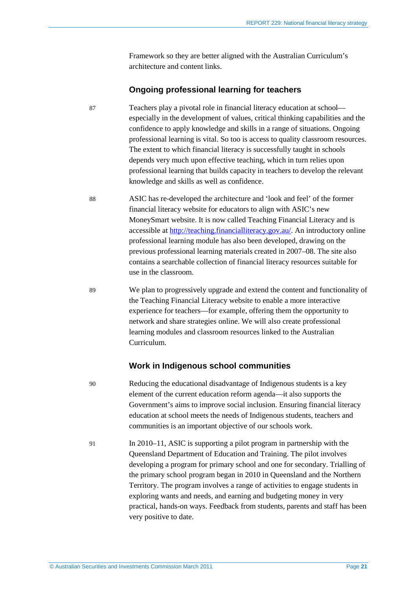Framework so they are better aligned with the Australian Curriculum's architecture and content links.

#### **Ongoing professional learning for teachers**

87 Teachers play a pivotal role in financial literacy education at school especially in the development of values, critical thinking capabilities and the confidence to apply knowledge and skills in a range of situations. Ongoing professional learning is vital. So too is access to quality classroom resources. The extent to which financial literacy is successfully taught in schools depends very much upon effective teaching, which in turn relies upon professional learning that builds capacity in teachers to develop the relevant knowledge and skills as well as confidence.

88 ASIC has re-developed the architecture and 'look and feel' of the former financial literacy website for educators to align with ASIC's new MoneySmart website. It is now called Teaching Financial Literacy and is accessible at [http://teaching.financialliteracy.gov.au/.](http://teaching.financialliteracy.gov.au/) An introductory online professional learning module has also been developed, drawing on the previous professional learning materials created in 2007–08. The site also contains a searchable collection of financial literacy resources suitable for use in the classroom.

89 We plan to progressively upgrade and extend the content and functionality of the Teaching Financial Literacy website to enable a more interactive experience for teachers—for example, offering them the opportunity to network and share strategies online. We will also create professional learning modules and classroom resources linked to the Australian Curriculum.

#### **Work in Indigenous school communities**

90 Reducing the educational disadvantage of Indigenous students is a key element of the current education reform agenda—it also supports the Government's aims to improve social inclusion. Ensuring financial literacy education at school meets the needs of Indigenous students, teachers and communities is an important objective of our schools work.

91 In 2010–11, ASIC is supporting a pilot program in partnership with the Queensland Department of Education and Training. The pilot involves developing a program for primary school and one for secondary. Trialling of the primary school program began in 2010 in Queensland and the Northern Territory. The program involves a range of activities to engage students in exploring wants and needs, and earning and budgeting money in very practical, hands-on ways. Feedback from students, parents and staff has been very positive to date.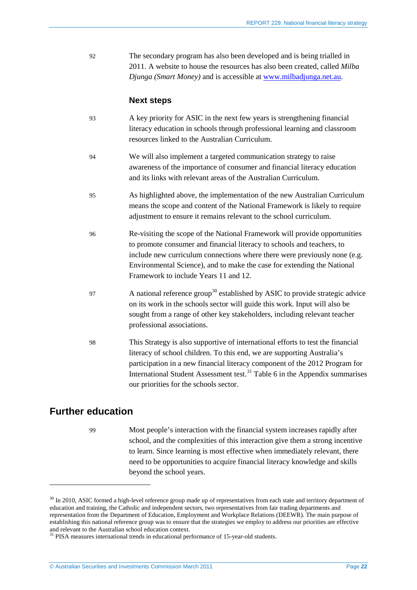92 The secondary program has also been developed and is being trialled in 2011. A website to house the resources has also been created, called *Milba Djunga (Smart Money)* and is accessible at [www.milbadjunga.net.au.](http://www.milbadjunga.net.au/)

#### **Next steps**

- 93 A key priority for ASIC in the next few years is strengthening financial literacy education in schools through professional learning and classroom resources linked to the Australian Curriculum.
- 94 We will also implement a targeted communication strategy to raise awareness of the importance of consumer and financial literacy education and its links with relevant areas of the Australian Curriculum.
- 95 As highlighted above, the implementation of the new Australian Curriculum means the scope and content of the National Framework is likely to require adjustment to ensure it remains relevant to the school curriculum.
- 96 Re-visiting the scope of the National Framework will provide opportunities to promote consumer and financial literacy to schools and teachers, to include new curriculum connections where there were previously none (e.g. Environmental Science), and to make the case for extending the National Framework to include Years 11 and 12.
- 97 A national reference group<sup>[30](#page-21-1)</sup> established by ASIC to provide strategic advice on its work in the schools sector will guide this work. Input will also be sought from a range of other key stakeholders, including relevant teacher professional associations.
- 98 This Strategy is also supportive of international efforts to test the financial literacy of school children. To this end, we are supporting Australia's participation in a new financial literacy component of the 2012 Program for International Student Assessment test.<sup>[31](#page-21-2)</sup> [Table 6](#page-55-1) in the Appendix summarises our priorities for the schools sector.

### <span id="page-21-0"></span>**Further education**

<u>.</u>

99 Most people's interaction with the financial system increases rapidly after school, and the complexities of this interaction give them a strong incentive to learn. Since learning is most effective when immediately relevant, there need to be opportunities to acquire financial literacy knowledge and skills beyond the school years.

<span id="page-21-1"></span><sup>&</sup>lt;sup>30</sup> In 2010, ASIC formed a high-level reference group made up of representatives from each state and territory department of education and training, the Catholic and independent sectors, two representatives from fair trading departments and representation from the Department of Education, Employment and Workplace Relations (DEEWR). The main purpose of establishing this national reference group was to ensure that the strategies we employ to address our priorities are effective

<span id="page-21-2"></span>and relevant to the Australian school education context.  $31$  PISA measures international trends in educational performance of 15-year-old students.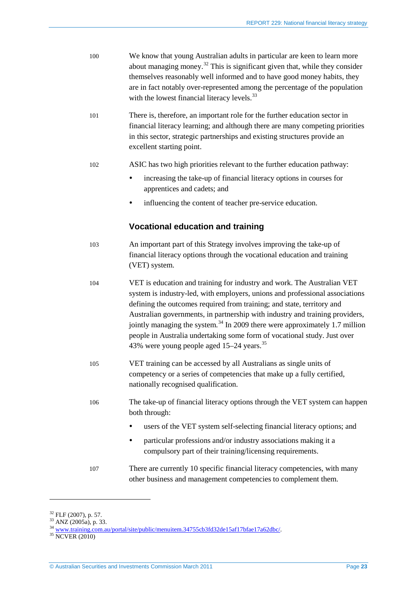| 100 | We know that young Australian adults in particular are keen to learn more<br>about managing money. <sup>32</sup> This is significant given that, while they consider<br>themselves reasonably well informed and to have good money habits, they<br>are in fact notably over-represented among the percentage of the population<br>with the lowest financial literacy levels. <sup>33</sup>                                                                                                                                                        |
|-----|---------------------------------------------------------------------------------------------------------------------------------------------------------------------------------------------------------------------------------------------------------------------------------------------------------------------------------------------------------------------------------------------------------------------------------------------------------------------------------------------------------------------------------------------------|
| 101 | There is, therefore, an important role for the further education sector in<br>financial literacy learning; and although there are many competing priorities<br>in this sector, strategic partnerships and existing structures provide an<br>excellent starting point.                                                                                                                                                                                                                                                                             |
| 102 | ASIC has two high priorities relevant to the further education pathway:                                                                                                                                                                                                                                                                                                                                                                                                                                                                           |
|     | increasing the take-up of financial literacy options in courses for<br>٠<br>apprentices and cadets; and                                                                                                                                                                                                                                                                                                                                                                                                                                           |
|     | influencing the content of teacher pre-service education.                                                                                                                                                                                                                                                                                                                                                                                                                                                                                         |
|     | <b>Vocational education and training</b>                                                                                                                                                                                                                                                                                                                                                                                                                                                                                                          |
| 103 | An important part of this Strategy involves improving the take-up of<br>financial literacy options through the vocational education and training<br>(VET) system.                                                                                                                                                                                                                                                                                                                                                                                 |
| 104 | VET is education and training for industry and work. The Australian VET<br>system is industry-led, with employers, unions and professional associations<br>defining the outcomes required from training; and state, territory and<br>Australian governments, in partnership with industry and training providers,<br>jointly managing the system. <sup>34</sup> In 2009 there were approximately 1.7 million<br>people in Australia undertaking some form of vocational study. Just over<br>43% were young people aged 15-24 years. <sup>35</sup> |
| 105 | VET training can be accessed by all Australians as single units of<br>competency or a series of competencies that make up a fully certified,<br>nationally recognised qualification.                                                                                                                                                                                                                                                                                                                                                              |
| 106 | The take-up of financial literacy options through the VET system can happen<br>both through:                                                                                                                                                                                                                                                                                                                                                                                                                                                      |
|     | users of the VET system self-selecting financial literacy options; and<br>٠                                                                                                                                                                                                                                                                                                                                                                                                                                                                       |
|     | particular professions and/or industry associations making it a<br>٠<br>compulsory part of their training/licensing requirements.                                                                                                                                                                                                                                                                                                                                                                                                                 |
| 107 | There are currently 10 specific financial literacy competencies, with many<br>other business and management competencies to complement them.                                                                                                                                                                                                                                                                                                                                                                                                      |

<span id="page-22-2"></span>

<span id="page-22-1"></span><span id="page-22-0"></span><sup>&</sup>lt;sup>32</sup> FLF (2007), p. 57.<br><sup>33</sup> ANZ (2005a), p. 33.<br><sup>34</sup> <u>[www.training.com.au/portal/site/public/menuitem.34755cb3fd32de15af17bfae17a62dbc/.](http://www.training.com.au/portal/site/public/menuitem.34755cb3fd32de15af17bfae17a62dbc/)</u><br><sup>35</sup> NCVER (2010)

<span id="page-22-3"></span>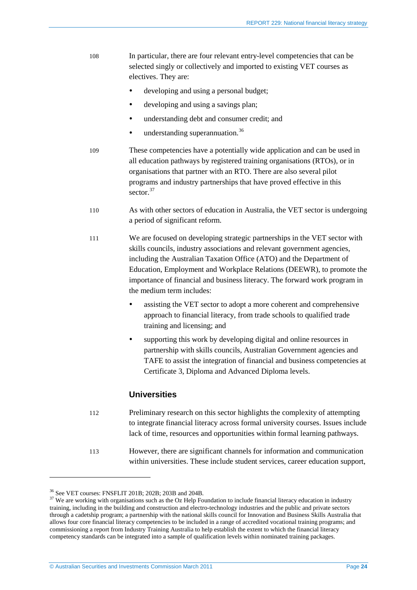- 108 In particular, there are four relevant entry-level competencies that can be selected singly or collectively and imported to existing VET courses as electives. They are:
	- developing and using a personal budget;
	- developing and using a savings plan;
	- understanding debt and consumer credit; and
	- understanding superannuation.<sup>[36](#page-23-0)</sup>
- 109 These competencies have a potentially wide application and can be used in all education pathways by registered training organisations (RTOs), or in organisations that partner with an RTO. There are also several pilot programs and industry partnerships that have proved effective in this sector.<sup>[37](#page-23-1)</sup>
- 110 As with other sectors of education in Australia, the VET sector is undergoing a period of significant reform.
- 111 We are focused on developing strategic partnerships in the VET sector with skills councils, industry associations and relevant government agencies, including the Australian Taxation Office (ATO) and the Department of Education, Employment and Workplace Relations (DEEWR), to promote the importance of financial and business literacy. The forward work program in the medium term includes:
	- assisting the VET sector to adopt a more coherent and comprehensive approach to financial literacy, from trade schools to qualified trade training and licensing; and
	- supporting this work by developing digital and online resources in partnership with skills councils, Australian Government agencies and TAFE to assist the integration of financial and business competencies at Certificate 3, Diploma and Advanced Diploma levels.

#### **Universities**

- 112 Preliminary research on this sector highlights the complexity of attempting to integrate financial literacy across formal university courses. Issues include lack of time, resources and opportunities within formal learning pathways.
- 113 However, there are significant channels for information and communication within universities. These include student services, career education support,

<span id="page-23-1"></span><span id="page-23-0"></span><sup>&</sup>lt;sup>36</sup> See VET courses: FNSFLIT 201B; 202B; 203B and 204B.<br><sup>37</sup> We are working with organisations such as the Oz Help Foundation to include financial literacy education in industry training, including in the building and construction and electro-technology industries and the public and private sectors through a cadetship program; a partnership with the national skills council for Innovation and Business Skills Australia that allows four core financial literacy competencies to be included in a range of accredited vocational training programs; and commissioning a report from Industry Training Australia to help establish the extent to which the financial literacy competency standards can be integrated into a sample of qualification levels within nominated training packages.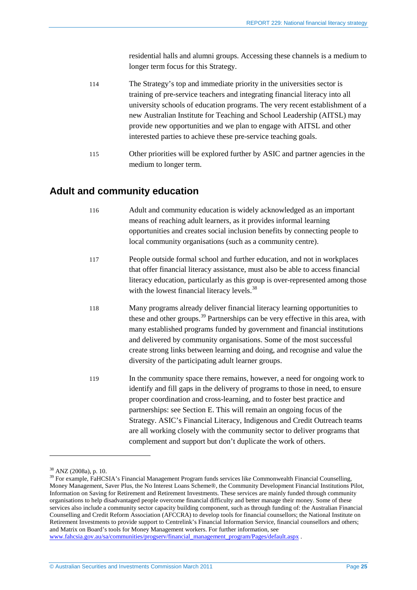residential halls and alumni groups. Accessing these channels is a medium to longer term focus for this Strategy.

- 114 The Strategy's top and immediate priority in the universities sector is training of pre-service teachers and integrating financial literacy into all university schools of education programs. The very recent establishment of a new Australian Institute for Teaching and School Leadership (AITSL) may provide new opportunities and we plan to engage with AITSL and other interested parties to achieve these pre-service teaching goals.
- 115 Other priorities will be explored further by ASIC and partner agencies in the medium to longer term.

### <span id="page-24-0"></span>**Adult and community education**

- 116 Adult and community education is widely acknowledged as an important means of reaching adult learners, as it provides informal learning opportunities and creates social inclusion benefits by connecting people to local community organisations (such as a community centre).
- 117 People outside formal school and further education, and not in workplaces that offer financial literacy assistance, must also be able to access financial literacy education, particularly as this group is over-represented among those with the lowest financial literacy levels.<sup>[38](#page-24-1)</sup>
- 118 Many programs already deliver financial literacy learning opportunities to these and other groups.<sup>[39](#page-24-2)</sup> Partnerships can be very effective in this area, with many established programs funded by government and financial institutions and delivered by community organisations. Some of the most successful create strong links between learning and doing, and recognise and value the diversity of the participating adult learner groups.
- 119 In the community space there remains, however, a need for ongoing work to identify and fill gaps in the delivery of programs to those in need, to ensure proper coordination and cross-learning, and to foster best practice and partnerships: see Section [E.](#page-48-0) This will remain an ongoing focus of the Strategy. ASIC's Financial Literacy, Indigenous and Credit Outreach teams are all working closely with the community sector to deliver programs that complement and support but don't duplicate the work of others.

<span id="page-24-2"></span><span id="page-24-1"></span> $38$  ANZ (2008a), p. 10.<br> $39$  For example, FaHCSIA's Financial Management Program funds services like Commonwealth Financial Counselling, Money Management, Saver Plus, the No Interest Loans Scheme®, the Community Development Financial Institutions Pilot, Information on Saving for Retirement and Retirement Investments. These services are mainly funded through community organisations to help disadvantaged people overcome financial difficulty and better manage their money. Some of these services also include a community sector capacity building component, such as through funding of: the Australian Financial Counselling and Credit Reform Association (AFCCRA) to develop tools for financial counsellors; the National Institute on Retirement Investments to provide support to Centrelink's Financial Information Service, financial counsellors and others; and Matrix on Board's tools for Money Management workers. For further information, see [www.fahcsia.gov.au/sa/communities/progserv/financial\\_management\\_program/Pages/default.aspx](http://www.fahcsia.gov.au/sa/communities/progserv/financial_management_program/Pages/default.aspx) .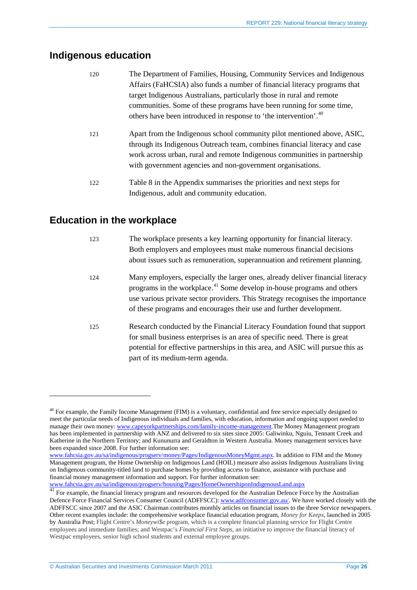### <span id="page-25-0"></span>**Indigenous education**

| 120 | The Department of Families, Housing, Community Services and Indigenous       |
|-----|------------------------------------------------------------------------------|
|     | Affairs (FaHCSIA) also funds a number of financial literacy programs that    |
|     | target Indigenous Australians, particularly those in rural and remote        |
|     | communities. Some of these programs have been running for some time,         |
|     | others have been introduced in response to 'the intervention'. <sup>40</sup> |
|     |                                                                              |

- 121 Apart from the Indigenous school community pilot mentioned above, ASIC, through its Indigenous Outreach team, combines financial literacy and case work across urban, rural and remote Indigenous communities in partnership with government agencies and non-government organisations.
- 122 [Table 8](#page-55-2) in the Appendix summarises the priorities and next steps for Indigenous, adult and community education.

### <span id="page-25-1"></span>**Education in the workplace**

<u>.</u>

| 123 | The workplace presents a key learning opportunity for financial literacy.<br>Both employers and employees must make numerous financial decisions<br>about issues such as remuneration, superannuation and retirement planning.                                                                                               |
|-----|------------------------------------------------------------------------------------------------------------------------------------------------------------------------------------------------------------------------------------------------------------------------------------------------------------------------------|
| 124 | Many employers, especially the larger ones, already deliver financial literacy<br>programs in the workplace. <sup>41</sup> Some develop in-house programs and others<br>use various private sector providers. This Strategy recognises the importance<br>of these programs and encourages their use and further development. |
| 125 | Research conducted by the Financial Literacy Foundation found that support<br>for small business enterprises is an area of specific need. There is great<br>potential for effective partnerships in this area, and ASIC will pursue this as<br>part of its medium-term agenda.                                               |

www.fahcsia.gov.au/sa/indigenous/progserv/housing/Pages/HomeOwnershiponIndigenousLand.aspx

<span id="page-25-2"></span><sup>&</sup>lt;sup>40</sup> For example, the Family Income Management (FIM) is a voluntary, confidential and free service especially designed to meet the particular needs of Indigenous individuals and families, with education, information and ongoing support needed to manage their own money: [www.capeyorkpartnerships.com/family-income-management.](http://www.capeyorkpartnerships.com/family-income-management)The Money Management program has been implemented in partnership with ANZ and delivered to six sites since 2005: Galiwinku, Nguiu, Tennant Creek and Katherine in the Northern Territory; and Kununurra and Geraldton in Western Australia. Money management services have been expanded since 2008. For further information see:

www.fahcsia.gov.au/sa/indigenous/progserv/money/Pages/IndigenousMoneyMgmt.aspx. In addition to FIM and the Money Management program, the Home Ownership on Indigenous Land (HOIL) measure also assists Indigenous Australians living on Indigenous community-titled land to purchase homes by providing access to finance, assistance with purchase and financial money management information and support. For further information see:

<span id="page-25-3"></span><sup>41</sup> For example, the financial literacy program and resources developed for the Australian Defence Force by the Australian Defence Force Financial Services Consumer Council (ADFFSCC): [www.adfconsumer.gov.au/.](http://www.adfconsumer.gov.au/) We have worked closely with the ADFFSCC since 2007 and the ASIC Chairman contributes monthly articles on financial issues to the three Service newspapers. Other recent examples include: the comprehensive workplace financial education program, *Money for Keeps*, launched in 2005 by Australia Post; Flight Centre's *Moneywi\$e* program, which is a complete financial planning service for Flight Centre employees and immediate families; and Westpac's *Financial First Steps*, an initiative to improve the financial literacy of Westpac employees, senior high school students and external employee groups.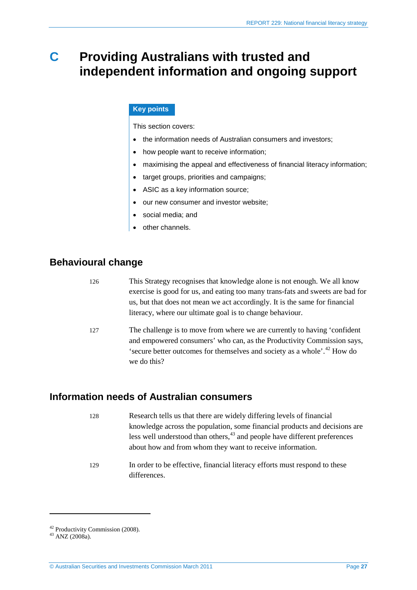## <span id="page-26-0"></span>**C Providing Australians with trusted and independent information and ongoing support**

#### **Key points**

This section covers:

- the information needs of Australian consumers and investors;
- how people want to receive information;
- maximising the appeal and effectiveness of financial literacy information;
- target groups, priorities and campaigns;
- ASIC as a key information source;
- our new consumer and investor website;
- social media; and
- other channels.

### <span id="page-26-1"></span>**Behavioural change**

| 126 | This Strategy recognises that knowledge alone is not enough. We all know             |
|-----|--------------------------------------------------------------------------------------|
|     | exercise is good for us, and eating too many trans-fats and sweets are bad for       |
|     | us, but that does not mean we act accordingly. It is the same for financial          |
|     | literacy, where our ultimate goal is to change behaviour.                            |
| 127 | The challenge is to move from where we are currently to having 'confident            |
|     | and empowered consumers' who can, as the Productivity Commission says,               |
|     | 'secure better outcomes for themselves and society as a whole'. <sup>42</sup> How do |
|     | we do this?                                                                          |

### <span id="page-26-2"></span>**Information needs of Australian consumers**

- 128 Research tells us that there are widely differing levels of financial knowledge across the population, some financial products and decisions are less well understood than others, <sup>[43](#page-26-4)</sup> and people have different preferences about how and from whom they want to receive information.
- 129 In order to be effective, financial literacy efforts must respond to these differences.

<span id="page-26-4"></span><span id="page-26-3"></span> $^{42}$  Productivity Commission (2008).<br> $^{43}$  ANZ (2008a).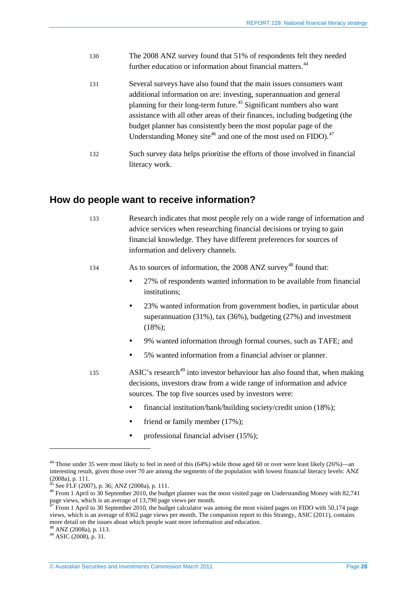- 130 The 2008 ANZ survey found that 51% of respondents felt they needed further education or information about financial matters.<sup>[44](#page-27-1)</sup>
- 131 Several surveys have also found that the main issues consumers want additional information on are: investing, superannuation and general planning for their long-term future.[45](#page-27-2) Significant numbers also want assistance with all other areas of their finances, including budgeting (the budget planner has consistently been the most popular page of the Understanding Money site<sup>[46](#page-27-3)</sup> and one of the most used on FIDO).<sup>[47](#page-27-4)</sup>
- 132 Such survey data helps prioritise the efforts of those involved in financial literacy work.

### <span id="page-27-0"></span>**How do people want to receive information?**

- 133 Research indicates that most people rely on a wide range of information and advice services when researching financial decisions or trying to gain financial knowledge. They have different preferences for sources of information and delivery channels.
- 134 As to sources of information, the 2008 ANZ survey<sup>[48](#page-27-5)</sup> found that:
	- 27% of respondents wanted information to be available from financial institutions;
	- 23% wanted information from government bodies, in particular about superannuation (31%), tax (36%), budgeting (27%) and investment (18%);
	- 9% wanted information through formal courses, such as TAFE; and
	- 5% wanted information from a financial adviser or planner.
- 135 ASIC's research<sup>[49](#page-27-6)</sup> into investor behaviour has also found that, when making decisions, investors draw from a wide range of information and advice sources. The top five sources used by investors were:
	- financial institution/bank/building society/credit union (18%);
	- friend or family member (17%);
	- professional financial adviser (15%);

<span id="page-27-1"></span><sup>44</sup> Those under 35 were most likely to feel in need of this (64%) while those aged 60 or over were least likely (26%)—an interesting result, given those over 70 are among the segments of the population with lowest financial literacy levels: ANZ  $(2008a)$ , p. 111.<br><sup>45</sup> See FLF (2007), p. 36; ANZ (2008a), p. 111.

<span id="page-27-3"></span><span id="page-27-2"></span> $46$  From 1 April to 30 September 2010, the budget planner was the most visited page on Understanding Money with 82,741 page views, which is an average of 13,790 page views per month.<br><sup>47</sup> From 1 April to 30 September 2010, the budget calculator was among the most visited pages on FIDO with 50,174 page

<span id="page-27-4"></span>views, which is an average of 8362 page views per month. The companion report to this Strategy, ASIC (2011), contains more detail on the issues about which people want more information and education.

<span id="page-27-6"></span><span id="page-27-5"></span> $^{48}$  ANZ (2008a), p. 113.<br> $^{49}$  ASIC (2008), p. 31.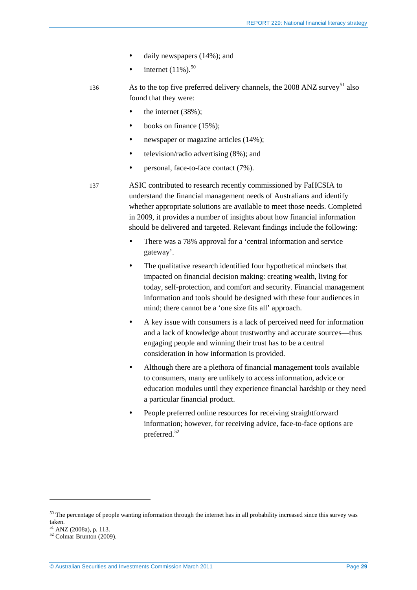- daily newspapers (14%); and
- internet  $(11\%)$ <sup>[50](#page-28-0)</sup>
- 136 As to the top five preferred delivery channels, the  $2008$  ANZ survey<sup>[51](#page-28-1)</sup> also found that they were:
	- $\bullet$  the internet (38%);
	- $\bullet$  books on finance (15%);
	- newspaper or magazine articles (14%);
	- television/radio advertising (8%); and
	- personal, face-to-face contact (7%).
- <span id="page-28-3"></span>137 ASIC contributed to research recently commissioned by FaHCSIA to understand the financial management needs of Australians and identify whether appropriate solutions are available to meet those needs. Completed in 2009, it provides a number of insights about how financial information should be delivered and targeted. Relevant findings include the following:
	- There was a 78% approval for a 'central information and service gateway'.
	- The qualitative research identified four hypothetical mindsets that impacted on financial decision making: creating wealth, living for today, self-protection, and comfort and security. Financial management information and tools should be designed with these four audiences in mind; there cannot be a 'one size fits all' approach.
	- A key issue with consumers is a lack of perceived need for information and a lack of knowledge about trustworthy and accurate sources—thus engaging people and winning their trust has to be a central consideration in how information is provided.
	- Although there are a plethora of financial management tools available to consumers, many are unlikely to access information, advice or education modules until they experience financial hardship or they need a particular financial product.
	- People preferred online resources for receiving straightforward information; however, for receiving advice, face-to-face options are preferred.<sup>[52](#page-28-2)</sup>

<span id="page-28-0"></span><sup>&</sup>lt;sup>50</sup> The percentage of people wanting information through the internet has in all probability increased since this survey was taken.<br> $^{51}$  ANZ (2008a), p. 113.

<span id="page-28-2"></span><span id="page-28-1"></span> $52$  Colmar Brunton (2009).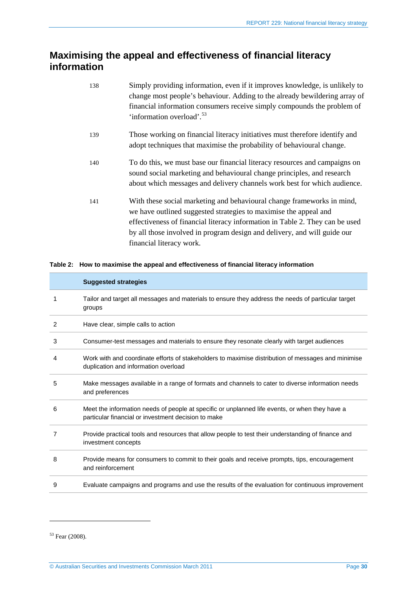### <span id="page-29-0"></span>**Maximising the appeal and effectiveness of financial literacy information**

| 138 | Simply providing information, even if it improves knowledge, is unlikely to<br>change most people's behaviour. Adding to the already bewildering array of<br>financial information consumers receive simply compounds the problem of<br>'information overload'. <sup>53</sup>                                                      |
|-----|------------------------------------------------------------------------------------------------------------------------------------------------------------------------------------------------------------------------------------------------------------------------------------------------------------------------------------|
| 139 | Those working on financial literacy initiatives must therefore identify and<br>adopt techniques that maximise the probability of behavioural change.                                                                                                                                                                               |
| 140 | To do this, we must base our financial literacy resources and campaigns on<br>sound social marketing and behavioural change principles, and research<br>about which messages and delivery channels work best for which audience.                                                                                                   |
| 141 | With these social marketing and behavioural change frameworks in mind,<br>we have outlined suggested strategies to maximise the appeal and<br>effectiveness of financial literacy information in Table 2. They can be used<br>by all those involved in program design and delivery, and will guide our<br>financial literacy work. |

#### <span id="page-29-1"></span>**Table 2: How to maximise the appeal and effectiveness of financial literacy information**

|   | <b>Suggested strategies</b>                                                                                                                           |
|---|-------------------------------------------------------------------------------------------------------------------------------------------------------|
| 1 | Tailor and target all messages and materials to ensure they address the needs of particular target<br>groups                                          |
| 2 | Have clear, simple calls to action                                                                                                                    |
| 3 | Consumer-test messages and materials to ensure they resonate clearly with target audiences                                                            |
| 4 | Work with and coordinate efforts of stakeholders to maximise distribution of messages and minimise<br>duplication and information overload            |
| 5 | Make messages available in a range of formats and channels to cater to diverse information needs<br>and preferences                                   |
| 6 | Meet the information needs of people at specific or unplanned life events, or when they have a<br>particular financial or investment decision to make |
| 7 | Provide practical tools and resources that allow people to test their understanding of finance and<br>investment concepts                             |
| 8 | Provide means for consumers to commit to their goals and receive prompts, tips, encouragement<br>and reinforcement                                    |
| 9 | Evaluate campaigns and programs and use the results of the evaluation for continuous improvement                                                      |

<span id="page-29-2"></span><sup>53</sup> Fear (2008).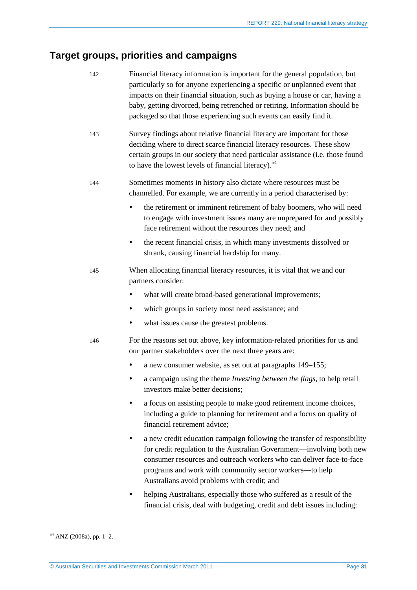## <span id="page-30-0"></span>**Target groups, priorities and campaigns**

| 142 | Financial literacy information is important for the general population, but<br>particularly so for anyone experiencing a specific or unplanned event that<br>impacts on their financial situation, such as buying a house or car, having a<br>baby, getting divorced, being retrenched or retiring. Information should be<br>packaged so that those experiencing such events can easily find it. |  |  |  |  |
|-----|--------------------------------------------------------------------------------------------------------------------------------------------------------------------------------------------------------------------------------------------------------------------------------------------------------------------------------------------------------------------------------------------------|--|--|--|--|
| 143 | Survey findings about relative financial literacy are important for those<br>deciding where to direct scarce financial literacy resources. These show<br>certain groups in our society that need particular assistance (i.e. those found<br>to have the lowest levels of financial literacy). <sup>54</sup>                                                                                      |  |  |  |  |
| 144 | Sometimes moments in history also dictate where resources must be<br>channelled. For example, we are currently in a period characterised by:                                                                                                                                                                                                                                                     |  |  |  |  |
|     | the retirement or imminent retirement of baby boomers, who will need<br>to engage with investment issues many are unprepared for and possibly<br>face retirement without the resources they need; and                                                                                                                                                                                            |  |  |  |  |
|     | the recent financial crisis, in which many investments dissolved or<br>$\bullet$<br>shrank, causing financial hardship for many.                                                                                                                                                                                                                                                                 |  |  |  |  |
| 145 | When allocating financial literacy resources, it is vital that we and our<br>partners consider:                                                                                                                                                                                                                                                                                                  |  |  |  |  |
|     | what will create broad-based generational improvements;<br>٠                                                                                                                                                                                                                                                                                                                                     |  |  |  |  |
|     | which groups in society most need assistance; and<br>٠                                                                                                                                                                                                                                                                                                                                           |  |  |  |  |
|     | what issues cause the greatest problems.<br>٠                                                                                                                                                                                                                                                                                                                                                    |  |  |  |  |
| 146 | For the reasons set out above, key information-related priorities for us and<br>our partner stakeholders over the next three years are:                                                                                                                                                                                                                                                          |  |  |  |  |
|     | a new consumer website, as set out at paragraphs 149–155;                                                                                                                                                                                                                                                                                                                                        |  |  |  |  |
|     | a campaign using the theme Investing between the flags, to help retail<br>investors make better decisions;                                                                                                                                                                                                                                                                                       |  |  |  |  |
|     | a focus on assisting people to make good retirement income choices,<br>including a guide to planning for retirement and a focus on quality of<br>financial retirement advice;                                                                                                                                                                                                                    |  |  |  |  |
|     | a new credit education campaign following the transfer of responsibility<br>٠<br>for credit regulation to the Australian Government—involving both new<br>consumer resources and outreach workers who can deliver face-to-face<br>programs and work with community sector workers-to help<br>Australians avoid problems with credit; and                                                         |  |  |  |  |
|     | helping Australians, especially those who suffered as a result of the<br>٠<br>financial crisis, deal with budgeting, credit and debt issues including:                                                                                                                                                                                                                                           |  |  |  |  |

<span id="page-30-1"></span> $54$  ANZ (2008a), pp. 1-2.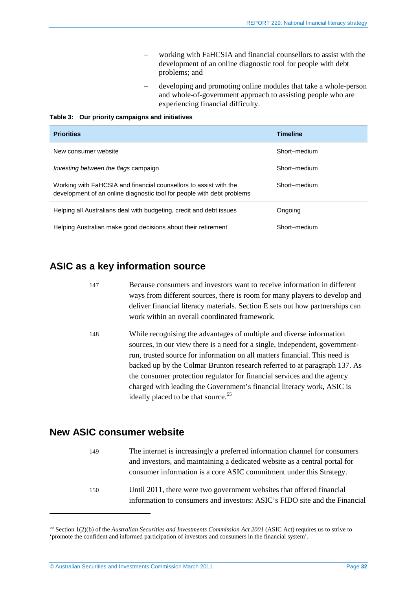- working with FaHCSIA and financial counsellors to assist with the development of an online diagnostic tool for people with debt problems; and
- developing and promoting online modules that take a whole-person and whole-of-government approach to assisting people who are experiencing financial difficulty.

**Table 3: Our priority campaigns and initiatives**

| <b>Priorities</b>                                                                                                                           | <b>Timeline</b> |
|---------------------------------------------------------------------------------------------------------------------------------------------|-----------------|
| New consumer website                                                                                                                        | Short-medium    |
| <i>Investing between the flags campaign</i>                                                                                                 | Short-medium    |
| Working with FaHCSIA and financial counsellors to assist with the<br>development of an online diagnostic tool for people with debt problems | Short-medium    |
| Helping all Australians deal with budgeting, credit and debt issues                                                                         | Ongoing         |
| Helping Australian make good decisions about their retirement                                                                               | Short-medium    |

### <span id="page-31-0"></span>**ASIC as a key information source**

- 147 Because consumers and investors want to receive information in different ways from different sources, there is room for many players to develop and deliver financial literacy materials. Section [E](#page-48-0) sets out how partnerships can work within an overall coordinated framework.
- 148 While recognising the advantages of multiple and diverse information sources, in our view there is a need for a single, independent, governmentrun, trusted source for information on all matters financial. This need is backed up by the Colmar Brunton research referred to at paragraph [137.](#page-28-3) As the consumer protection regulator for financial services and the agency charged with leading the Government's financial literacy work, ASIC is ideally placed to be that source.<sup>[55](#page-31-3)</sup>

### <span id="page-31-2"></span><span id="page-31-1"></span>**New ASIC consumer website**

| 149 | The internet is increasingly a preferred information channel for consumers |
|-----|----------------------------------------------------------------------------|
|     | and investors, and maintaining a dedicated website as a central portal for |
|     | consumer information is a core ASIC commitment under this Strategy.        |
| 150 | Until 2011, there were two government websites that offered financial      |
|     | information to consumers and investors: ASIC's FIDO site and the Financial |

<span id="page-31-3"></span><sup>55</sup> Section 1(2)(b) of the *Australian Securities and Investments Commission Act 2001* (ASIC Act) requires us to strive to 'promote the confident and informed participation of investors and consumers in the financial system'.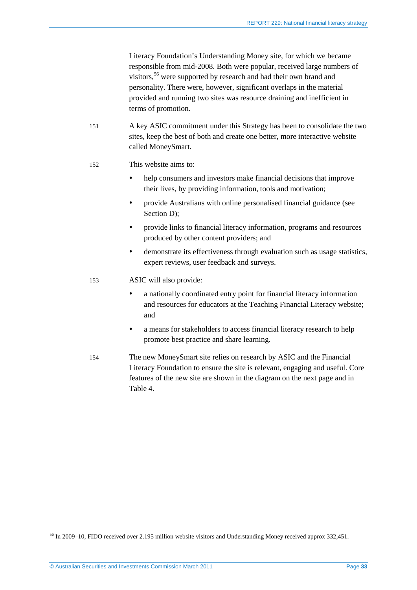Literacy Foundation's Understanding Money site, for which we became responsible from mid-2008. Both were popular, received large numbers of visitors,<sup>[56](#page-32-0)</sup> were supported by research and had their own brand and personality. There were, however, significant overlaps in the material provided and running two sites was resource draining and inefficient in terms of promotion.

151 A key ASIC commitment under this Strategy has been to consolidate the two sites, keep the best of both and create one better, more interactive website called MoneySmart.

#### 152 This website aims to:

- help consumers and investors make financial decisions that improve their lives, by providing information, tools and motivation;
- provide Australians with online personalised financial guidance (see Section [D\)](#page-36-0);
- provide links to financial literacy information, programs and resources produced by other content providers; and
- demonstrate its effectiveness through evaluation such as usage statistics, expert reviews, user feedback and surveys.
- 153 ASIC will also provide:
	- a nationally coordinated entry point for financial literacy information and resources for educators at the Teaching Financial Literacy website; and
	- a means for stakeholders to access financial literacy research to help promote best practice and share learning.
- 154 The new MoneySmart site relies on research by ASIC and the Financial Literacy Foundation to ensure the site is relevant, engaging and useful. Core features of the new site are shown in the diagram on the next page and in [Table 4.](#page-34-1)

<span id="page-32-0"></span><sup>&</sup>lt;sup>56</sup> In 2009–10, FIDO received over 2.195 million website visitors and Understanding Money received approx 332,451.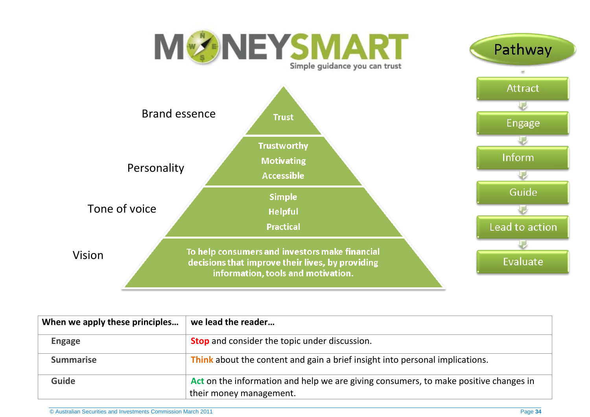

| When we apply these principles | we lead the reader                                                                                              |
|--------------------------------|-----------------------------------------------------------------------------------------------------------------|
| <b>Engage</b>                  | <b>Stop</b> and consider the topic under discussion.                                                            |
| <b>Summarise</b>               | Think about the content and gain a brief insight into personal implications.                                    |
| <b>Guide</b>                   | Act on the information and help we are giving consumers, to make positive changes in<br>their money management. |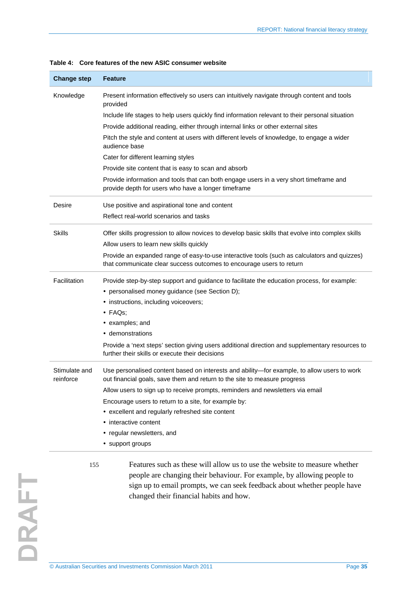| <b>Change step</b>         | <b>Feature</b>                                                                                                                                                           |
|----------------------------|--------------------------------------------------------------------------------------------------------------------------------------------------------------------------|
| Knowledge                  | Present information effectively so users can intuitively navigate through content and tools<br>provided                                                                  |
|                            | Include life stages to help users quickly find information relevant to their personal situation                                                                          |
|                            | Provide additional reading, either through internal links or other external sites                                                                                        |
|                            | Pitch the style and content at users with different levels of knowledge, to engage a wider<br>audience base                                                              |
|                            | Cater for different learning styles                                                                                                                                      |
|                            | Provide site content that is easy to scan and absorb                                                                                                                     |
|                            | Provide information and tools that can both engage users in a very short timeframe and<br>provide depth for users who have a longer timeframe                            |
| Desire                     | Use positive and aspirational tone and content                                                                                                                           |
|                            | Reflect real-world scenarios and tasks                                                                                                                                   |
| <b>Skills</b>              | Offer skills progression to allow novices to develop basic skills that evolve into complex skills                                                                        |
|                            | Allow users to learn new skills quickly                                                                                                                                  |
|                            | Provide an expanded range of easy-to-use interactive tools (such as calculators and quizzes)<br>that communicate clear success outcomes to encourage users to return     |
| Facilitation               | Provide step-by-step support and guidance to facilitate the education process, for example:                                                                              |
|                            | • personalised money guidance (see Section D);                                                                                                                           |
|                            | • instructions, including voiceovers;                                                                                                                                    |
|                            | $\cdot$ FAQs;                                                                                                                                                            |
|                            | • examples; and                                                                                                                                                          |
|                            | • demonstrations                                                                                                                                                         |
|                            | Provide a 'next steps' section giving users additional direction and supplementary resources to<br>further their skills or execute their decisions                       |
| Stimulate and<br>reinforce | Use personalised content based on interests and ability-for example, to allow users to work<br>out financial goals, save them and return to the site to measure progress |
|                            | Allow users to sign up to receive prompts, reminders and newsletters via email                                                                                           |
|                            | Encourage users to return to a site, for example by:                                                                                                                     |
|                            | • excellent and regularly refreshed site content                                                                                                                         |
|                            | • interactive content                                                                                                                                                    |
|                            | • regular newsletters, and                                                                                                                                               |
|                            |                                                                                                                                                                          |

<span id="page-34-0"></span>people are changing their behaviour. For example, by allowing people to sign up to email prompts, we can seek feedback about whether people have

changed their financial habits and how.

<span id="page-34-1"></span>

|  |  |  |  |  |  | Table 4: Core features of the new ASIC consumer website |  |
|--|--|--|--|--|--|---------------------------------------------------------|--|
|--|--|--|--|--|--|---------------------------------------------------------|--|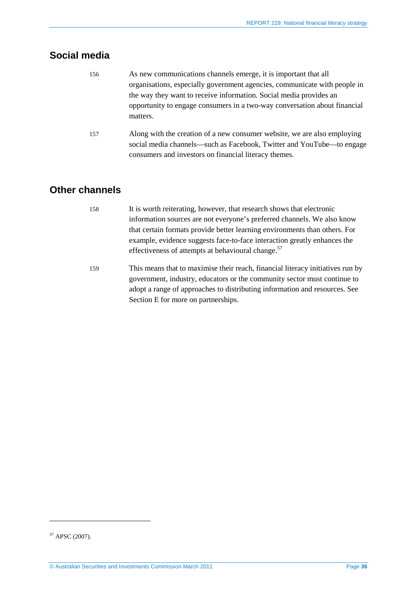## <span id="page-35-0"></span>**Social media**

- 156 As new communications channels emerge, it is important that all organisations, especially government agencies, communicate with people in the way they want to receive information. Social media provides an opportunity to engage consumers in a two-way conversation about financial matters.
- 157 Along with the creation of a new consumer website, we are also employing social media channels—such as Facebook, Twitter and YouTube—to engage consumers and investors on financial literacy themes.

### <span id="page-35-1"></span>**Other channels**

- 158 It is worth reiterating, however, that research shows that electronic information sources are not everyone's preferred channels. We also know that certain formats provide better learning environments than others. For example, evidence suggests face-to-face interaction greatly enhances the effectiveness of attempts at behavioural change.<sup>[57](#page-35-2)</sup>
- 159 This means that to maximise their reach, financial literacy initiatives run by government, industry, educators or the community sector must continue to adopt a range of approaches to distributing information and resources. See Section [E](#page-48-0) for more on partnerships.

<span id="page-35-2"></span><sup>57</sup> APSC (2007).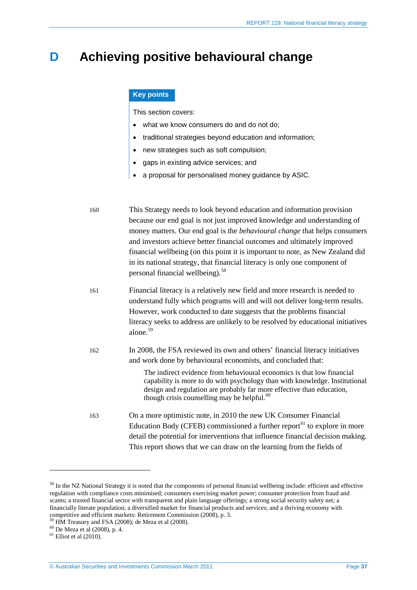## <span id="page-36-0"></span>**D Achieving positive behavioural change**

#### **Key points**

This section covers:

- what we know consumers do and do not do;
- traditional strategies beyond education and information;
- new strategies such as soft compulsion;
- gaps in existing advice services; and
- a proposal for personalised money guidance by ASIC.

160 This Strategy needs to look beyond education and information provision because our end goal is not just improved knowledge and understanding of money matters. Our end goal is the *behavioural change* that helps consumers and investors achieve better financial outcomes and ultimately improved financial wellbeing (on this point it is important to note, as New Zealand did in its national strategy, that financial literacy is only one component of personal financial wellbeing). [58](#page-36-1)

- 161 Financial literacy is a relatively new field and more research is needed to understand fully which programs will and will not deliver long-term results. However, work conducted to date suggests that the problems financial literacy seeks to address are unlikely to be resolved by educational initiatives alone.[59](#page-36-2)
- 162 In 2008, the FSA reviewed its own and others' financial literacy initiatives and work done by behavioural economists, and concluded that:

The indirect evidence from behavioural economics is that low financial capability is more to do with psychology than with knowledge. Institutional design and regulation are probably far more effective than education, though crisis counselling may be helpful. $60$ 

163 On a more optimistic note, in 2010 the new UK Consumer Financial Education Body (CFEB) commissioned a further report<sup>[61](#page-36-4)</sup> to explore in more detail the potential for interventions that influence financial decision making. This report shows that we can draw on the learning from the fields of

<span id="page-36-1"></span><sup>&</sup>lt;sup>58</sup> In the NZ National Strategy it is noted that the components of personal financial wellbeing include: efficient and effective regulation with compliance costs minimised; consumers exercising market power; consumer protection from fraud and scams; a trusted financial sector with transparent and plain language offerings; a strong social security safety net; a financially literate population; a diversified market for financial products and services; and a thriving economy with competitive and efficient markets: Retirement Commission (2008), p. 3.

<span id="page-36-3"></span><span id="page-36-2"></span><sup>&</sup>lt;sup>59</sup> HM Treasury and FSA (2008); de Meza et al (2008).<br><sup>60</sup> De Meza et al (2008), p. 4.<br><sup>61</sup> Elliot et al (2010).

<span id="page-36-4"></span>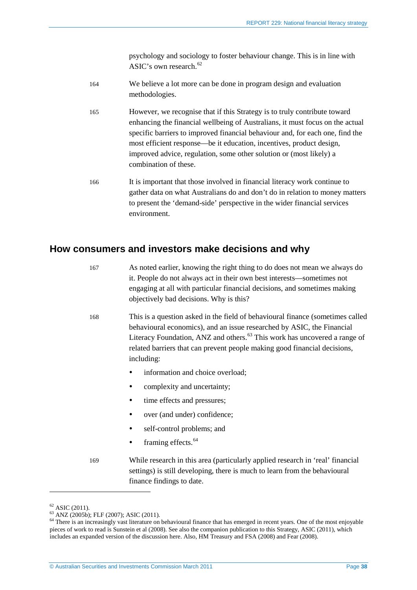psychology and sociology to foster behaviour change. This is in line with ASIC's own research.<sup>[62](#page-37-1)</sup>

- 164 We believe a lot more can be done in program design and evaluation methodologies.
- 165 However, we recognise that if this Strategy is to truly contribute toward enhancing the financial wellbeing of Australians, it must focus on the actual specific barriers to improved financial behaviour and, for each one, find the most efficient response—be it education, incentives, product design, improved advice, regulation, some other solution or (most likely) a combination of these.
- 166 It is important that those involved in financial literacy work continue to gather data on what Australians do and don't do in relation to money matters to present the 'demand-side' perspective in the wider financial services environment.

### <span id="page-37-0"></span>**How consumers and investors make decisions and why**

- 167 As noted earlier, knowing the right thing to do does not mean we always do it. People do not always act in their own best interests—sometimes not engaging at all with particular financial decisions, and sometimes making objectively bad decisions. Why is this?
- 168 This is a question asked in the field of behavioural finance (sometimes called behavioural economics), and an issue researched by ASIC, the Financial Literacy Foundation, ANZ and others.<sup>[63](#page-37-2)</sup> This work has uncovered a range of related barriers that can prevent people making good financial decisions, including:
	- information and choice overload;
	- complexity and uncertainty;
	- time effects and pressures;
	- over (and under) confidence;
	- self-control problems; and
	- framing effects.<sup>[64](#page-37-3)</sup>

169 While research in this area (particularly applied research in 'real' financial settings) is still developing, there is much to learn from the behavioural finance findings to date.

<span id="page-37-3"></span>

<span id="page-37-2"></span><span id="page-37-1"></span><sup>&</sup>lt;sup>62</sup> ASIC (2011).<br><sup>63</sup> ANZ (2005b); FLF (2007); ASIC (2011).<br><sup>64</sup> There is an increasingly vast literature on behavioural finance that has emerged in recent years. One of the most enjoyable pieces of work to read is Sunstein et al (2008). See also the companion publication to this Strategy, ASIC (2011), which includes an expanded version of the discussion here. Also, HM Treasury and FSA (2008) and Fear (2008).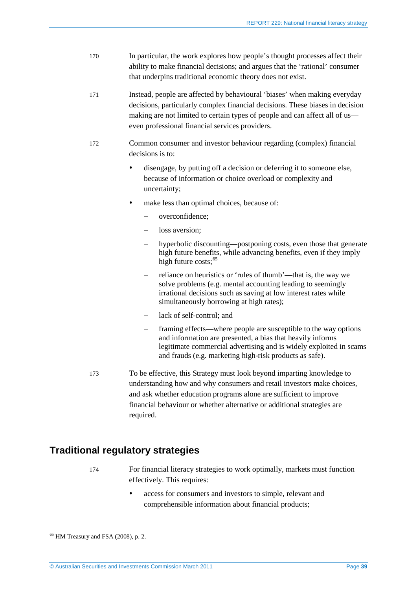- 170 In particular, the work explores how people's thought processes affect their ability to make financial decisions; and argues that the 'rational' consumer that underpins traditional economic theory does not exist.
- 171 Instead, people are affected by behavioural 'biases' when making everyday decisions, particularly complex financial decisions. These biases in decision making are not limited to certain types of people and can affect all of us even professional financial services providers.
- 172 Common consumer and investor behaviour regarding (complex) financial decisions is to:
	- disengage, by putting off a decision or deferring it to someone else, because of information or choice overload or complexity and uncertainty;
	- make less than optimal choices, because of:
		- − overconfidence;
		- loss aversion:
		- hyperbolic discounting—postponing costs, even those that generate high future benefits, while advancing benefits, even if they imply high future costs:<sup>[65](#page-38-1)</sup>
		- reliance on heuristics or 'rules of thumb'—that is, the way we solve problems (e.g. mental accounting leading to seemingly irrational decisions such as saving at low interest rates while simultaneously borrowing at high rates);
		- lack of self-control; and
		- framing effects—where people are susceptible to the way options and information are presented, a bias that heavily informs legitimate commercial advertising and is widely exploited in scams and frauds (e.g. marketing high-risk products as safe).
- 173 To be effective, this Strategy must look beyond imparting knowledge to understanding how and why consumers and retail investors make choices, and ask whether education programs alone are sufficient to improve financial behaviour or whether alternative or additional strategies are required.

### <span id="page-38-0"></span>**Traditional regulatory strategies**

- 174 For financial literacy strategies to work optimally, markets must function effectively. This requires:
	- access for consumers and investors to simple, relevant and comprehensible information about financial products;

<span id="page-38-1"></span> $<sup>65</sup>$  HM Treasury and FSA (2008), p. 2.</sup>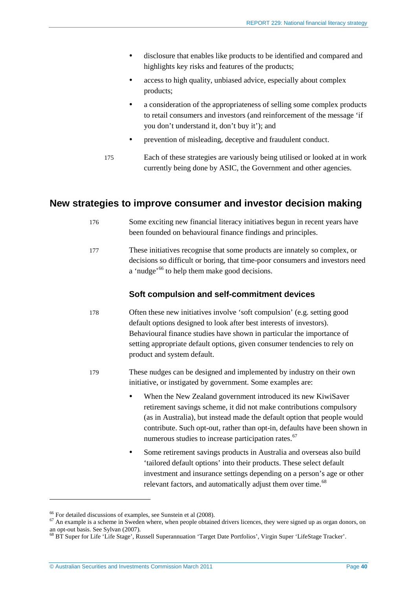- disclosure that enables like products to be identified and compared and highlights key risks and features of the products;
- access to high quality, unbiased advice, especially about complex products;
- a consideration of the appropriateness of selling some complex products to retail consumers and investors (and reinforcement of the message 'if you don't understand it, don't buy it'); and
- prevention of misleading, deceptive and fraudulent conduct.
- 175 Each of these strategies are variously being utilised or looked at in work currently being done by ASIC, the Government and other agencies.

### <span id="page-39-0"></span>**New strategies to improve consumer and investor decision making**

- 176 Some exciting new financial literacy initiatives begun in recent years have been founded on behavioural finance findings and principles.
- 177 These initiatives recognise that some products are innately so complex, or decisions so difficult or boring, that time-poor consumers and investors need a 'nudge'<sup>[66](#page-39-1)</sup> to help them make good decisions.

#### **Soft compulsion and self-commitment devices**

- 178 Often these new initiatives involve 'soft compulsion' (e.g. setting good default options designed to look after best interests of investors). Behavioural finance studies have shown in particular the importance of setting appropriate default options, given consumer tendencies to rely on product and system default.
- 179 These nudges can be designed and implemented by industry on their own initiative, or instigated by government. Some examples are:
	- When the New Zealand government introduced its new KiwiSaver retirement savings scheme, it did not make contributions compulsory (as in Australia), but instead made the default option that people would contribute. Such opt-out, rather than opt-in, defaults have been shown in numerous studies to increase participation rates.<sup>[67](#page-39-2)</sup>
	- Some retirement savings products in Australia and overseas also build 'tailored default options' into their products. These select default investment and insurance settings depending on a person's age or other relevant factors, and automatically adjust them over time.<sup>[68](#page-39-3)</sup>

<span id="page-39-2"></span><span id="page-39-1"></span> $66$  For detailed discussions of examples, see Sunstein et al (2008).<br>
<sup>67</sup> An example is a scheme in Sweden where, when people obtained drivers licences, they were signed up as organ donors, on an opt-out basis. See Sylvan (2007).<br><sup>68</sup> BT Super for Life 'Life Stage', Russell Superannuation 'Target Date Portfolios', Virgin Super 'LifeStage Tracker'.

<span id="page-39-3"></span>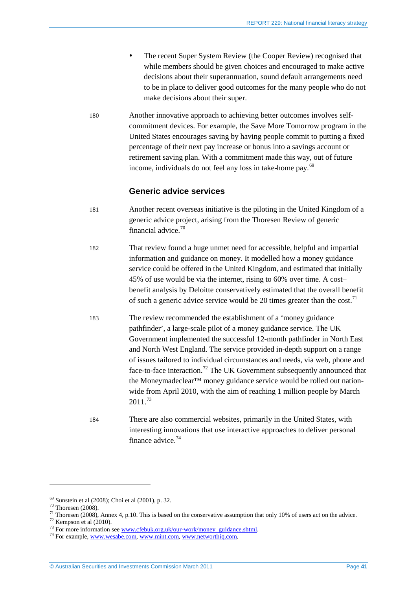- The recent Super System Review (the Cooper Review) recognised that while members should be given choices and encouraged to make active decisions about their superannuation, sound default arrangements need to be in place to deliver good outcomes for the many people who do not make decisions about their super.
- 180 Another innovative approach to achieving better outcomes involves selfcommitment devices. For example, the Save More Tomorrow program in the United States encourages saving by having people commit to putting a fixed percentage of their next pay increase or bonus into a savings account or retirement saving plan. With a commitment made this way, out of future income, individuals do not feel any loss in take-home pay.<sup>[69](#page-40-0)</sup>

#### **Generic advice services**

- 181 Another recent overseas initiative is the piloting in the United Kingdom of a generic advice project, arising from the Thoresen Review of generic financial advice.[70](#page-40-1)
- 182 That review found a huge unmet need for accessible, helpful and impartial information and guidance on money. It modelled how a money guidance service could be offered in the United Kingdom, and estimated that initially 45% of use would be via the internet, rising to 60% over time. A cost– benefit analysis by Deloitte conservatively estimated that the overall benefit of such a generic advice service would be 20 times greater than the cost.<sup>[71](#page-40-2)</sup>
- 183 The review recommended the establishment of a 'money guidance pathfinder', a large-scale pilot of a money guidance service. The UK Government implemented the successful 12-month pathfinder in North East and North West England. The service provided in-depth support on a range of issues tailored to individual circumstances and needs, via web, phone and face-to-face interaction.<sup>[72](#page-40-3)</sup> The UK Government subsequently announced that the Moneymadeclear<sup>™</sup> money guidance service would be rolled out nationwide from April 2010, with the aim of reaching 1 million people by March  $2011^{73}$  $2011^{73}$  $2011^{73}$
- 184 There are also commercial websites, primarily in the United States, with interesting innovations that use interactive approaches to deliver personal finance advice.[74](#page-40-5)

<span id="page-40-2"></span>

<span id="page-40-1"></span><span id="page-40-0"></span><sup>&</sup>lt;sup>69</sup> Sunstein et al (2008); Choi et al (2001), p. 32.<br><sup>70</sup> Thoresen (2008).<br><sup>71</sup> Thoresen (2008), Annex 4, p.10. This is based on the conservative assumption that only 10% of users act on the advice.<br><sup>72</sup> Kempson et al (2

<span id="page-40-3"></span>

<span id="page-40-4"></span>

<span id="page-40-5"></span>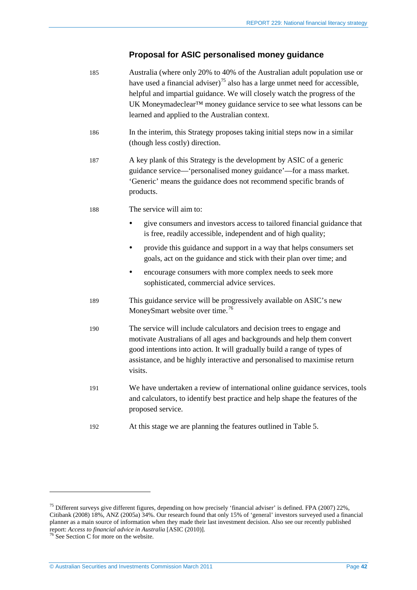### **Proposal for ASIC personalised money guidance**

| 185 | Australia (where only 20% to 40% of the Australian adult population use or<br>have used a financial adviser) <sup>75</sup> also has a large unmet need for accessible,<br>helpful and impartial guidance. We will closely watch the progress of the<br>UK Moneymadeclear™ money guidance service to see what lessons can be<br>learned and applied to the Australian context. |  |  |
|-----|-------------------------------------------------------------------------------------------------------------------------------------------------------------------------------------------------------------------------------------------------------------------------------------------------------------------------------------------------------------------------------|--|--|
| 186 | In the interim, this Strategy proposes taking initial steps now in a similar<br>(though less costly) direction.                                                                                                                                                                                                                                                               |  |  |
| 187 | A key plank of this Strategy is the development by ASIC of a generic<br>guidance service—'personalised money guidance'—for a mass market.<br>'Generic' means the guidance does not recommend specific brands of<br>products.                                                                                                                                                  |  |  |
| 188 | The service will aim to:                                                                                                                                                                                                                                                                                                                                                      |  |  |
|     | give consumers and investors access to tailored financial guidance that<br>is free, readily accessible, independent and of high quality;                                                                                                                                                                                                                                      |  |  |
|     | provide this guidance and support in a way that helps consumers set<br>$\bullet$<br>goals, act on the guidance and stick with their plan over time; and                                                                                                                                                                                                                       |  |  |
|     | encourage consumers with more complex needs to seek more<br>$\bullet$<br>sophisticated, commercial advice services.                                                                                                                                                                                                                                                           |  |  |
| 189 | This guidance service will be progressively available on ASIC's new<br>MoneySmart website over time. <sup>76</sup>                                                                                                                                                                                                                                                            |  |  |
| 190 | The service will include calculators and decision trees to engage and<br>motivate Australians of all ages and backgrounds and help them convert<br>good intentions into action. It will gradually build a range of types of<br>assistance, and be highly interactive and personalised to maximise return<br>visits.                                                           |  |  |
| 191 | We have undertaken a review of international online guidance services, tools<br>and calculators, to identify best practice and help shape the features of the<br>proposed service.                                                                                                                                                                                            |  |  |
| 192 | At this stage we are planning the features outlined in Table 5.                                                                                                                                                                                                                                                                                                               |  |  |
|     |                                                                                                                                                                                                                                                                                                                                                                               |  |  |

<span id="page-41-0"></span> $^{75}$  Different surveys give different figures, depending on how precisely 'financial adviser' is defined. FPA (2007) 22%, Citibank (2008) 18%, ANZ (2005a) 34%. Our research found that only 15% of 'general' investors surveyed used a financial planner as a main source of information when they made their last investment decision. Also see our recently published report: *Access to financial advice in Australia* [ASIC (2010)].<sup>76</sup> See Sectio[n C](#page-26-0) for more on the website.

<span id="page-41-1"></span>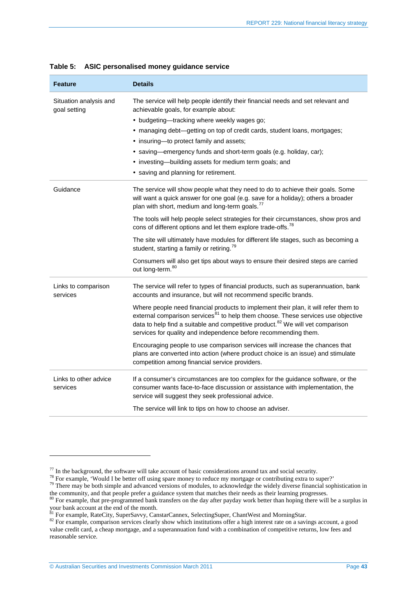| <b>Feature</b>                         | <b>Details</b>                                                                                                                                                                                                                                                                                                                                       |  |  |  |
|----------------------------------------|------------------------------------------------------------------------------------------------------------------------------------------------------------------------------------------------------------------------------------------------------------------------------------------------------------------------------------------------------|--|--|--|
| Situation analysis and<br>goal setting | The service will help people identify their financial needs and set relevant and<br>achievable goals, for example about:                                                                                                                                                                                                                             |  |  |  |
|                                        | • budgeting—tracking where weekly wages go;                                                                                                                                                                                                                                                                                                          |  |  |  |
|                                        | • managing debt—getting on top of credit cards, student loans, mortgages;                                                                                                                                                                                                                                                                            |  |  |  |
|                                        | • insuring-to protect family and assets;                                                                                                                                                                                                                                                                                                             |  |  |  |
|                                        | • saving—emergency funds and short-term goals (e.g. holiday, car);                                                                                                                                                                                                                                                                                   |  |  |  |
|                                        | • investing-building assets for medium term goals; and                                                                                                                                                                                                                                                                                               |  |  |  |
|                                        | • saving and planning for retirement.                                                                                                                                                                                                                                                                                                                |  |  |  |
| Guidance                               | The service will show people what they need to do to achieve their goals. Some<br>will want a quick answer for one goal (e.g. save for a holiday); others a broader<br>plan with short, medium and long-term goals. <sup>77</sup>                                                                                                                    |  |  |  |
|                                        | The tools will help people select strategies for their circumstances, show pros and<br>cons of different options and let them explore trade-offs. <sup>78</sup>                                                                                                                                                                                      |  |  |  |
|                                        | The site will ultimately have modules for different life stages, such as becoming a<br>student, starting a family or retiring. <sup>79</sup>                                                                                                                                                                                                         |  |  |  |
|                                        | Consumers will also get tips about ways to ensure their desired steps are carried<br>out long-term. <sup>80</sup>                                                                                                                                                                                                                                    |  |  |  |
| Links to comparison<br>services        | The service will refer to types of financial products, such as superannuation, bank<br>accounts and insurance, but will not recommend specific brands.                                                                                                                                                                                               |  |  |  |
|                                        | Where people need financial products to implement their plan, it will refer them to<br>external comparison services <sup>81</sup> to help them choose. These services use objective<br>data to help find a suitable and competitive product. <sup>82</sup> We will vet comparison<br>services for quality and independence before recommending them. |  |  |  |
|                                        | Encouraging people to use comparison services will increase the chances that<br>plans are converted into action (where product choice is an issue) and stimulate<br>competition among financial service providers.                                                                                                                                   |  |  |  |
| Links to other advice<br>services      | If a consumer's circumstances are too complex for the guidance software, or the<br>consumer wants face-to-face discussion or assistance with implementation, the<br>service will suggest they seek professional advice.                                                                                                                              |  |  |  |
|                                        | The service will link to tips on how to choose an adviser.                                                                                                                                                                                                                                                                                           |  |  |  |

#### <span id="page-42-0"></span>**Table 5: ASIC personalised money guidance service**

<span id="page-42-3"></span>

<span id="page-42-2"></span><span id="page-42-1"></span><sup>&</sup>lt;sup>77</sup> In the background, the software will take account of basic considerations around tax and social security.<br><sup>78</sup> For example, 'Would I be better off using spare money to reduce my mortgage or contributing extra to supe the community, and that people prefer a guidance system that matches their needs as their learning progresses.

<span id="page-42-4"></span><sup>&</sup>lt;sup>80</sup> For example, that pre-programmed bank transfers on the day after payday work better than hoping there will be a surplus in your bank account at the end of the month.<br><sup>81</sup> For example, RateCity, SuperSavvy, CanstarCannex, SelectingSuper, ChantWest and MorningStar.

<span id="page-42-6"></span><span id="page-42-5"></span><sup>&</sup>lt;sup>82</sup> For example, comparison services clearly show which institutions offer a high interest rate on a savings account, a good value credit card, a cheap mortgage, and a superannuation fund with a combination of competitive returns, low fees and reasonable service.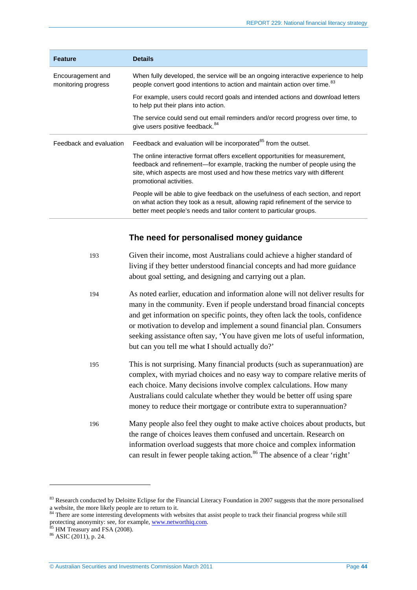| <b>Feature</b>                           | <b>Details</b>                                                                                                                                                                                                                                                          |
|------------------------------------------|-------------------------------------------------------------------------------------------------------------------------------------------------------------------------------------------------------------------------------------------------------------------------|
| Encouragement and<br>monitoring progress | When fully developed, the service will be an ongoing interactive experience to help<br>people convert good intentions to action and maintain action over time. <sup>83</sup>                                                                                            |
|                                          | For example, users could record goals and intended actions and download letters<br>to help put their plans into action.                                                                                                                                                 |
|                                          | The service could send out email reminders and/or record progress over time, to<br>give users positive feedback. <sup>84</sup>                                                                                                                                          |
| Feedback and evaluation                  | Feedback and evaluation will be incorporated <sup>85</sup> from the outset.                                                                                                                                                                                             |
|                                          | The online interactive format offers excellent opportunities for measurement,<br>feedback and refinement—for example, tracking the number of people using the<br>site, which aspects are most used and how these metrics vary with different<br>promotional activities. |
|                                          | People will be able to give feedback on the usefulness of each section, and report<br>on what action they took as a result, allowing rapid refinement of the service to<br>better meet people's needs and tailor content to particular groups.                          |

### **The need for personalised money guidance**

| 193 | Given their income, most Australians could achieve a higher standard of<br>living if they better understood financial concepts and had more guidance<br>about goal setting, and designing and carrying out a plan.                                                                                                                                                                                                                                          |
|-----|-------------------------------------------------------------------------------------------------------------------------------------------------------------------------------------------------------------------------------------------------------------------------------------------------------------------------------------------------------------------------------------------------------------------------------------------------------------|
| 194 | As noted earlier, education and information alone will not deliver results for<br>many in the community. Even if people understand broad financial concepts<br>and get information on specific points, they often lack the tools, confidence<br>or motivation to develop and implement a sound financial plan. Consumers<br>seeking assistance often say, 'You have given me lots of useful information,<br>but can you tell me what I should actually do?' |
| 195 | This is not surprising. Many financial products (such as superannuation) are<br>complex, with myriad choices and no easy way to compare relative merits of<br>each choice. Many decisions involve complex calculations. How many<br>Australians could calculate whether they would be better off using spare<br>money to reduce their mortgage or contribute extra to superannuation?                                                                       |
| 196 | Many people also feel they ought to make active choices about products, but<br>the range of choices leaves them confused and uncertain. Research on<br>information overload suggests that more choice and complex information<br>can result in fewer people taking action. <sup>86</sup> The absence of a clear 'right'                                                                                                                                     |

<span id="page-43-0"></span> $83$  Research conducted by Deloitte Eclipse for the Financial Literacy Foundation in 2007 suggests that the more personalised a website, the more likely people are to return to it.

<span id="page-43-1"></span><sup>&</sup>lt;sup>84</sup> There are some interesting developments with websites that assist people to track their financial progress while still protecting anonymity: see, for example[, www.networthiq.com.](http://www.networthiq.com/)<br>
<sup>85</sup> HM Treasury and FSA (2008).<br>
<sup>86</sup> ASIC (2011), p. 24.

<span id="page-43-2"></span>

<span id="page-43-3"></span>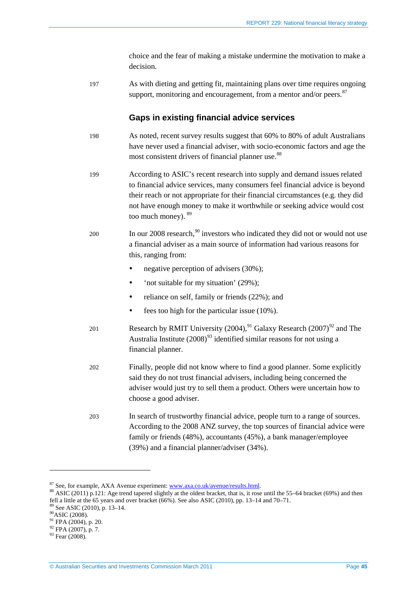choice and the fear of making a mistake undermine the motivation to make a decision.

197 As with dieting and getting fit, maintaining plans over time requires ongoing support, monitoring and encouragement, from a mentor and/or peers.  $87$ 

#### **Gaps in existing financial advice services**

- 198 As noted, recent survey results suggest that 60% to 80% of adult Australians have never used a financial adviser, with socio-economic factors and age the most consistent drivers of financial planner use.<sup>[88](#page-44-1)</sup>
- 199 According to ASIC's recent research into supply and demand issues related to financial advice services, many consumers feel financial advice is beyond their reach or not appropriate for their financial circumstances (e.g. they did not have enough money to make it worthwhile or seeking advice would cost too much money). [89](#page-44-2)
- 200 In our 2008 research,  $90$  investors who indicated they did not or would not use a financial adviser as a main source of information had various reasons for this, ranging from:
	- negative perception of advisers (30%);
	- 'not suitable for my situation' (29%);
	- reliance on self, family or friends (22%); and
	- $\bullet$  fees too high for the particular issue (10%).
- 201 Research by RMIT University  $(2004)$ , <sup>[91](#page-44-4)</sup> Galaxy Research  $(2007)$ <sup>[92](#page-44-5)</sup> and The Australia Institute  $(2008)^{93}$  $(2008)^{93}$  $(2008)^{93}$  identified similar reasons for not using a financial planner.
- 202 Finally, people did not know where to find a good planner. Some explicitly said they do not trust financial advisers, including being concerned the adviser would just try to sell them a product. Others were uncertain how to choose a good adviser.
- 203 In search of trustworthy financial advice, people turn to a range of sources. According to the 2008 ANZ survey, the top sources of financial advice were family or friends (48%), accountants (45%), a bank manager/employee (39%) and a financial planner/adviser (34%).

<span id="page-44-2"></span>

<span id="page-44-1"></span><span id="page-44-0"></span><sup>&</sup>lt;sup>87</sup> See, for example, AXA Avenue experiment[: www.axa.co.uk/avenue/results.html.](http://www.axa.co.uk/avenue/results.html)<br><sup>88</sup> ASIC (2011) p.121: Age trend tapered slightly at the oldest bracket, that is, it rose until the 55–64 bracket (69%) and then fell a little at the 65 years and over bracket (66%). See also ASIC (2010), pp. 13–14 and 70–71.<br><sup>89</sup> See ASIC (2010), p. 13–14.<br><sup>90</sup> ASIC (2008).<br><sup>91</sup> FPA (2004), p. 20.

<span id="page-44-3"></span>

<span id="page-44-5"></span><span id="page-44-4"></span><sup>&</sup>lt;sup>92</sup> FPA (2007), p. 7.<br><sup>93</sup> Fear (2008).

<span id="page-44-6"></span>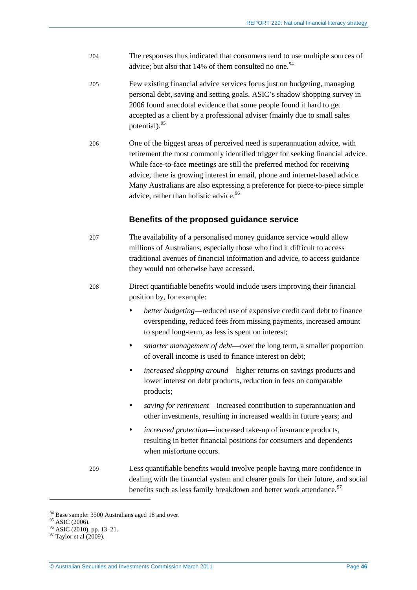- 204 The responses thus indicated that consumers tend to use multiple sources of advice; but also that  $14%$  of them consulted no one.<sup>[94](#page-45-0)</sup>
- 205 Few existing financial advice services focus just on budgeting, managing personal debt, saving and setting goals. ASIC's shadow shopping survey in 2006 found anecdotal evidence that some people found it hard to get accepted as a client by a professional adviser (mainly due to small sales potential).[95](#page-45-1)
- 206 One of the biggest areas of perceived need is superannuation advice, with retirement the most commonly identified trigger for seeking financial advice. While face-to-face meetings are still the preferred method for receiving advice, there is growing interest in email, phone and internet-based advice. Many Australians are also expressing a preference for piece-to-piece simple advice, rather than holistic advice.<sup>[96](#page-45-2)</sup>

#### **Benefits of the proposed guidance service**

- 207 The availability of a personalised money guidance service would allow millions of Australians, especially those who find it difficult to access traditional avenues of financial information and advice, to access guidance they would not otherwise have accessed.
- 208 Direct quantifiable benefits would include users improving their financial position by, for example:
	- *better budgeting*—reduced use of expensive credit card debt to finance overspending, reduced fees from missing payments, increased amount to spend long-term, as less is spent on interest;
	- *smarter management of debt*—over the long term, a smaller proportion of overall income is used to finance interest on debt;
	- *increased shopping around*—higher returns on savings products and lower interest on debt products, reduction in fees on comparable products;
	- *saving for retirement*—increased contribution to superannuation and other investments, resulting in increased wealth in future years; and
	- *increased protection*—increased take-up of insurance products, resulting in better financial positions for consumers and dependents when misfortune occurs.
- 209 Less quantifiable benefits would involve people having more confidence in dealing with the financial system and clearer goals for their future, and social benefits such as less family breakdown and better work attendance.<sup>[97](#page-45-3)</sup>

<span id="page-45-1"></span><span id="page-45-0"></span><sup>&</sup>lt;sup>94</sup> Base sample: 3500 Australians aged 18 and over.<br><sup>95</sup> ASIC (2006). <sup>96</sup> ASIC (2010), pp. 13–21. <sup>97</sup> Taylor et al (2009).

<span id="page-45-2"></span>

<span id="page-45-3"></span>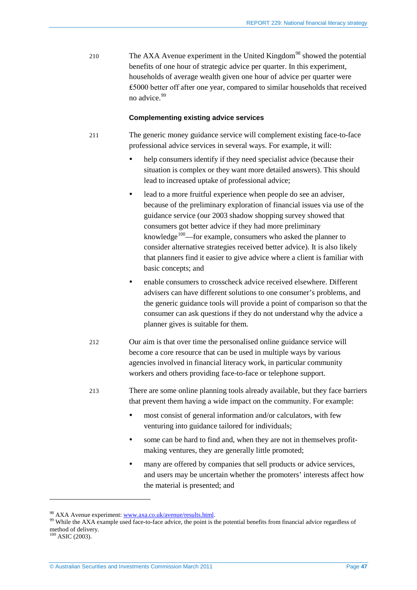210 The AXA Avenue experiment in the United Kingdom<sup>[98](#page-46-0)</sup> showed the potential benefits of one hour of strategic advice per quarter. In this experiment, households of average wealth given one hour of advice per quarter were ₤5000 better off after one year, compared to similar households that received no advice.[99](#page-46-1)

#### **Complementing existing advice services**

- 211 The generic money guidance service will complement existing face-to-face professional advice services in several ways. For example, it will:
	- help consumers identify if they need specialist advice (because their situation is complex or they want more detailed answers). This should lead to increased uptake of professional advice;
	- lead to a more fruitful experience when people do see an adviser, because of the preliminary exploration of financial issues via use of the guidance service (our 2003 shadow shopping survey showed that consumers got better advice if they had more preliminary knowledge<sup>[100](#page-46-2)</sup>—for example, consumers who asked the planner to consider alternative strategies received better advice). It is also likely that planners find it easier to give advice where a client is familiar with basic concepts; and
	- enable consumers to crosscheck advice received elsewhere. Different advisers can have different solutions to one consumer's problems, and the generic guidance tools will provide a point of comparison so that the consumer can ask questions if they do not understand why the advice a planner gives is suitable for them.
- 212 Our aim is that over time the personalised online guidance service will become a core resource that can be used in multiple ways by various agencies involved in financial literacy work, in particular community workers and others providing face-to-face or telephone support.
- 213 There are some online planning tools already available, but they face barriers that prevent them having a wide impact on the community. For example:
	- most consist of general information and/or calculators, with few venturing into guidance tailored for individuals;
	- some can be hard to find and, when they are not in themselves profitmaking ventures, they are generally little promoted;
	- many are offered by companies that sell products or advice services, and users may be uncertain whether the promoters' interests affect how the material is presented; and

<span id="page-46-1"></span><span id="page-46-0"></span><sup>&</sup>lt;sup>98</sup> AXA Avenue experiment[: www.axa.co.uk/avenue/results.html.](http://www.axa.co.uk/avenue/results.html)<br><sup>99</sup> While the AXA example used face-to-face advice, the point is the potential benefits from financial advice regardless of method of delivery.

<span id="page-46-2"></span> $100$  ASIC (2003).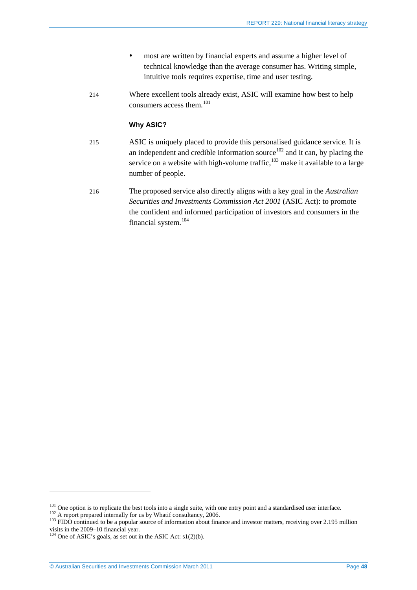- most are written by financial experts and assume a higher level of technical knowledge than the average consumer has. Writing simple, intuitive tools requires expertise, time and user testing.
- 214 Where excellent tools already exist, ASIC will examine how best to help consumers access them.[101](#page-47-0)

#### **Why ASIC?**

- 215 ASIC is uniquely placed to provide this personalised guidance service. It is an independent and credible information source $102$  and it can, by placing the service on a website with high-volume traffic,  $103$  make it available to a large number of people.
- 216 The proposed service also directly aligns with a key goal in the *Australian Securities and Investments Commission Act 2001* (ASIC Act): to promote the confident and informed participation of investors and consumers in the financial system. [104](#page-47-3)

<span id="page-47-2"></span>

<span id="page-47-1"></span><span id="page-47-0"></span><sup>&</sup>lt;sup>101</sup> One option is to replicate the best tools into a single suite, with one entry point and a standardised user interface.<br><sup>102</sup> A report prepared internally for us by Whatif consultancy, 2006.<br><sup>103</sup> FIDO continued to b visits in the 2009–10 financial year.<br><sup>104</sup> One of ASIC's goals, as set out in the ASIC Act: s1(2)(b).

<span id="page-47-3"></span>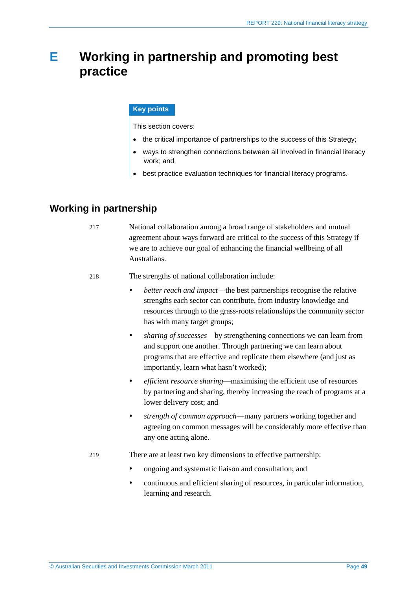## <span id="page-48-0"></span>**E Working in partnership and promoting best practice**

#### **Key points**

This section covers:

- the critical importance of partnerships to the success of this Strategy;
- ways to strengthen connections between all involved in financial literacy work; and
- best practice evaluation techniques for financial literacy programs.

### <span id="page-48-1"></span>**Working in partnership**

- 217 National collaboration among a broad range of stakeholders and mutual agreement about ways forward are critical to the success of this Strategy if we are to achieve our goal of enhancing the financial wellbeing of all Australians.
- 218 The strengths of national collaboration include:
	- *better reach and impact*—the best partnerships recognise the relative strengths each sector can contribute, from industry knowledge and resources through to the grass-roots relationships the community sector has with many target groups;
	- *sharing of successes*—by strengthening connections we can learn from and support one another. Through partnering we can learn about programs that are effective and replicate them elsewhere (and just as importantly, learn what hasn't worked);
	- *efficient resource sharing*—maximising the efficient use of resources by partnering and sharing, thereby increasing the reach of programs at a lower delivery cost; and
	- *strength of common approach*—many partners working together and agreeing on common messages will be considerably more effective than any one acting alone.
- 219 There are at least two key dimensions to effective partnership:
	- ongoing and systematic liaison and consultation; and
	- continuous and efficient sharing of resources, in particular information, learning and research.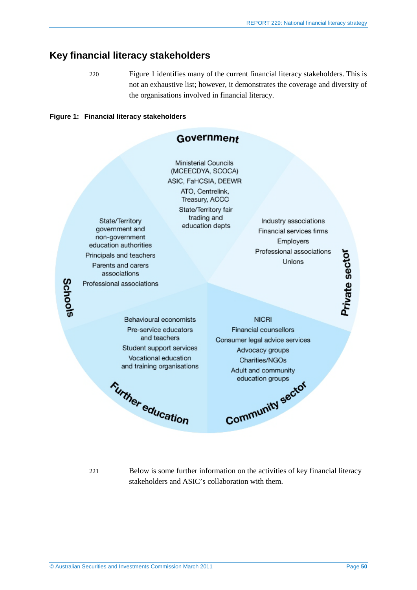### <span id="page-49-0"></span>**Key financial literacy stakeholders**

220 [Figure 1](#page-49-1) identifies many of the current financial literacy stakeholders. This is not an exhaustive list; however, it demonstrates the coverage and diversity of the organisations involved in financial literacy.

#### <span id="page-49-1"></span>**Figure 1: Financial literacy stakeholders**

![](_page_49_Figure_4.jpeg)

221 Below is some further information on the activities of key financial literacy stakeholders and ASIC's collaboration with them.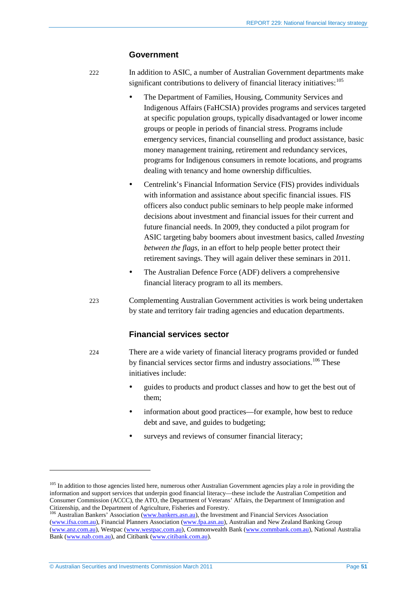#### **Government**

<span id="page-50-2"></span>222 In addition to ASIC, a number of Australian Government departments make significant contributions to delivery of financial literacy initiatives:  $^{105}$  $^{105}$  $^{105}$ 

- The Department of Families, Housing, Community Services and Indigenous Affairs (FaHCSIA) provides programs and services targeted at specific population groups, typically disadvantaged or lower income groups or people in periods of financial stress. Programs include emergency services, financial counselling and product assistance, basic money management training, retirement and redundancy services, programs for Indigenous consumers in remote locations, and programs dealing with tenancy and home ownership difficulties.
- Centrelink's Financial Information Service (FIS) provides individuals with information and assistance about specific financial issues. FIS officers also conduct public seminars to help people make informed decisions about investment and financial issues for their current and future financial needs. In 2009, they conducted a pilot program for ASIC targeting baby boomers about investment basics, called *Investing between the flags*, in an effort to help people better protect their retirement savings. They will again deliver these seminars in 2011.
- The Australian Defence Force (ADF) delivers a comprehensive financial literacy program to all its members.
- 223 Complementing Australian Government activities is work being undertaken by state and territory fair trading agencies and education departments.

#### **Financial services sector**

- 224 There are a wide variety of financial literacy programs provided or funded by financial services sector firms and industry associations.<sup>[106](#page-50-1)</sup> These initiatives include:
	- guides to products and product classes and how to get the best out of them;
	- information about good practices—for example, how best to reduce debt and save, and guides to budgeting;
	- surveys and reviews of consumer financial literacy;

<span id="page-50-0"></span><sup>&</sup>lt;sup>105</sup> In addition to those agencies listed here, numerous other Australian Government agencies play a role in providing the information and support services that underpin good financial literacy—these include the Australian Competition and Consumer Commission (ACCC), the ATO, the Department of Veterans' Affairs, the Department of Immigration and

<span id="page-50-1"></span><sup>&</sup>lt;sup>106</sup> Australian Bankers' Association [\(www.bankers.asn.au\)](http://www.bankers.asn.au/), the Investment and Financial Services Association [\(www.ifsa.com.au\)](http://www.ifsa.com.au/), Financial Planners Association [\(www.fpa.asn.au\)](http://www.fpa.asn.au/), Australian and New Zealand Banking Group [\(www.anz.com.au\)](http://www.anz.com.au/), Westpac [\(www.westpac.com.au\)](http://www.westpac.com.au/), Commonwealth Bank [\(www.commbank.com.au\)](http://www.commbank.com.au/), National Australia Bank [\(www.nab.com.au\)](http://www.nab.com.au/), and Citibank [\(www.citibank.com.au\)](http://www.citibank.com.au/).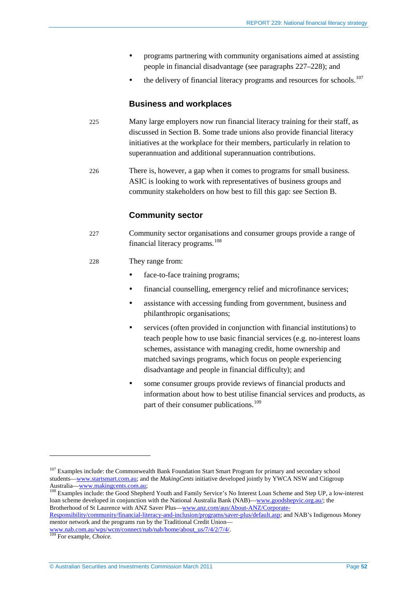- programs partnering with community organisations aimed at assisting people in financial disadvantage (see paragraphs [227–](#page-51-0)[228\)](#page-51-1); and
- $\bullet$  the delivery of financial literacy programs and resources for schools.<sup>[107](#page-51-2)</sup>

#### **Business and workplaces**

- 225 Many large employers now run financial literacy training for their staff, as discussed in Section [B.](#page-17-0) Some trade unions also provide financial literacy initiatives at the workplace for their members, particularly in relation to superannuation and additional superannuation contributions.
- 226 There is, however, a gap when it comes to programs for small business. ASIC is looking to work with representatives of business groups and community stakeholders on how best to fill this gap: see Sectio[n B.](#page-17-0)

### **Community sector**

<span id="page-51-0"></span>227 Community sector organisations and consumer groups provide a range of financial literacy programs. [108](#page-51-3)

#### <span id="page-51-1"></span>228 They range from:

- face-to-face training programs:
- financial counselling, emergency relief and microfinance services;
- assistance with accessing funding from government, business and philanthropic organisations;
- services (often provided in conjunction with financial institutions) to teach people how to use basic financial services (e.g. no-interest loans schemes, assistance with managing credit, home ownership and matched savings programs, which focus on people experiencing disadvantage and people in financial difficulty); and
- some consumer groups provide reviews of financial products and information about how to best utilise financial services and products, as part of their consumer publications.<sup>[109](#page-51-4)</sup>

<span id="page-51-2"></span><sup>&</sup>lt;sup>107</sup> Examples include: the Commonwealth Bank Foundation Start Smart Program for primary and secondary school students[—www.startsmart.com.au;](http://www.startsmart.com.au/) and the *MakingCents* initiative developed jointly by YWCA NSW and Citigroup Australia[—www.makingcents.com.au;](http://www.makingcents.com.au/)<br><sup>108</sup> Examples include: the Good Shepherd Youth and Family Service's No Interest Loan Scheme and Step UP, a low-interest

<span id="page-51-3"></span>loan scheme developed in conjunction with the National Australia Bank (NAB)[—www.goodshepvic.org.au/;](http://www.goodshepvic.org.au/) the Brotherhood of St Laurence with ANZ Saver Plus[—www.anz.com/aus/About-ANZ/Corporate-](http://www.anz.com/aus/About-ANZ/Corporate-Responsibility/community/financial-literacy-and-inclusion/programs/saver-plus/default.asp)

[Responsibility/community/financial-literacy-and-inclusion/programs/saver-plus/default.asp;](http://www.anz.com/aus/About-ANZ/Corporate-Responsibility/community/financial-literacy-and-inclusion/programs/saver-plus/default.asp) and NAB's Indigenous Money mentor network and the programs run by the Traditional Credit Union—

<span id="page-51-4"></span>[www.nab.com.au/wps/wcm/connect/nab/nab/home/about\\_us/7/4/2/7/4/.](http://www.nab.com.au/wps/wcm/connect/nab/nab/home/about_us/7/4/2/7/4/) <sup>109</sup> For example, *Choice.*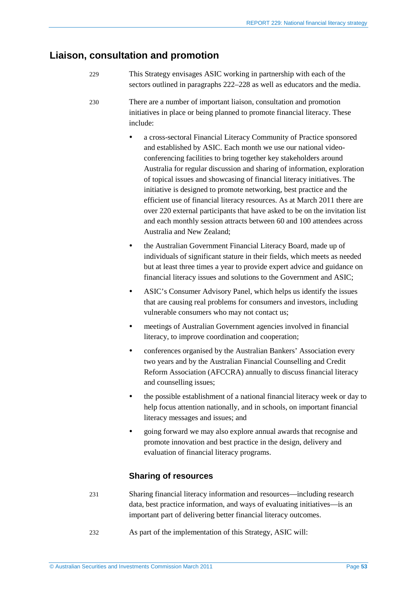### <span id="page-52-0"></span>**Liaison, consultation and promotion**

- 229 This Strategy envisages ASIC working in partnership with each of the sectors outlined in paragraph[s 222](#page-50-2)[–228](#page-51-1) as well as educators and the media.
- 230 There are a number of important liaison, consultation and promotion initiatives in place or being planned to promote financial literacy. These include:
	- a cross-sectoral Financial Literacy Community of Practice sponsored and established by ASIC. Each month we use our national videoconferencing facilities to bring together key stakeholders around Australia for regular discussion and sharing of information, exploration of topical issues and showcasing of financial literacy initiatives. The initiative is designed to promote networking, best practice and the efficient use of financial literacy resources. As at March 2011 there are over 220 external participants that have asked to be on the invitation list and each monthly session attracts between 60 and 100 attendees across Australia and New Zealand;
	- the Australian Government Financial Literacy Board, made up of individuals of significant stature in their fields, which meets as needed but at least three times a year to provide expert advice and guidance on financial literacy issues and solutions to the Government and ASIC;
	- ASIC's Consumer Advisory Panel, which helps us identify the issues that are causing real problems for consumers and investors, including vulnerable consumers who may not contact us;
	- meetings of Australian Government agencies involved in financial literacy, to improve coordination and cooperation;
	- conferences organised by the Australian Bankers' Association every two years and by the Australian Financial Counselling and Credit Reform Association (AFCCRA) annually to discuss financial literacy and counselling issues;
	- the possible establishment of a national financial literacy week or day to help focus attention nationally, and in schools, on important financial literacy messages and issues; and
	- going forward we may also explore annual awards that recognise and promote innovation and best practice in the design, delivery and evaluation of financial literacy programs.

### **Sharing of resources**

- 231 Sharing financial literacy information and resources—including research data, best practice information, and ways of evaluating initiatives—is an important part of delivering better financial literacy outcomes.
- 232 As part of the implementation of this Strategy, ASIC will: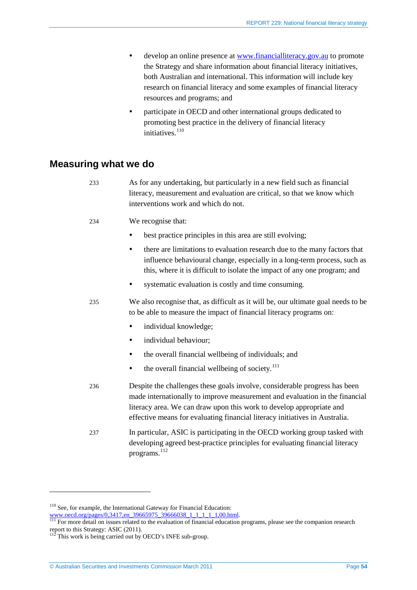- develop an online presence at [www.financialliteracy.gov.au](http://www.financialliteracy.gov.au/) to promote the Strategy and share information about financial literacy initiatives, both Australian and international. This information will include key research on financial literacy and some examples of financial literacy resources and programs; and
- participate in OECD and other international groups dedicated to promoting best practice in the delivery of financial literacy initiatives.<sup>[110](#page-53-1)</sup>

### <span id="page-53-0"></span>**Measuring what we do**

| 233 | As for any undertaking, but particularly in a new field such as financial<br>literacy, measurement and evaluation are critical, so that we know which<br>interventions work and which do not.                                                                                                                    |  |  |  |  |
|-----|------------------------------------------------------------------------------------------------------------------------------------------------------------------------------------------------------------------------------------------------------------------------------------------------------------------|--|--|--|--|
| 234 | We recognise that:                                                                                                                                                                                                                                                                                               |  |  |  |  |
|     | best practice principles in this area are still evolving;<br>$\bullet$                                                                                                                                                                                                                                           |  |  |  |  |
|     | there are limitations to evaluation research due to the many factors that<br>$\bullet$<br>influence behavioural change, especially in a long-term process, such as<br>this, where it is difficult to isolate the impact of any one program; and                                                                  |  |  |  |  |
|     | systematic evaluation is costly and time consuming.                                                                                                                                                                                                                                                              |  |  |  |  |
| 235 | We also recognise that, as difficult as it will be, our ultimate goal needs to be<br>to be able to measure the impact of financial literacy programs on:                                                                                                                                                         |  |  |  |  |
|     | individual knowledge;                                                                                                                                                                                                                                                                                            |  |  |  |  |
|     | individual behaviour;<br>$\bullet$                                                                                                                                                                                                                                                                               |  |  |  |  |
|     | the overall financial wellbeing of individuals; and<br>٠                                                                                                                                                                                                                                                         |  |  |  |  |
|     | the overall financial wellbeing of society. <sup>111</sup><br>٠                                                                                                                                                                                                                                                  |  |  |  |  |
| 236 | Despite the challenges these goals involve, considerable progress has been<br>made internationally to improve measurement and evaluation in the financial<br>literacy area. We can draw upon this work to develop appropriate and<br>effective means for evaluating financial literacy initiatives in Australia. |  |  |  |  |
| 237 | In particular, ASIC is participating in the OECD working group tasked with<br>developing agreed best-practice principles for evaluating financial literacy<br>programs. <sup>112</sup>                                                                                                                           |  |  |  |  |

<sup>110</sup> See, for example, the International Gateway for Financial Education:

<span id="page-53-2"></span><span id="page-53-1"></span>www.oecd.org/pages/0,3417,en\_39665975\_39666038\_1\_1\_1\_1,00.html. 111 For more detail on issues related to the evaluation of financial education programs, please see the companion research report to this Strategy: ASIC (2011).

<span id="page-53-3"></span> $112$  This work is being carried out by OECD's INFE sub-group.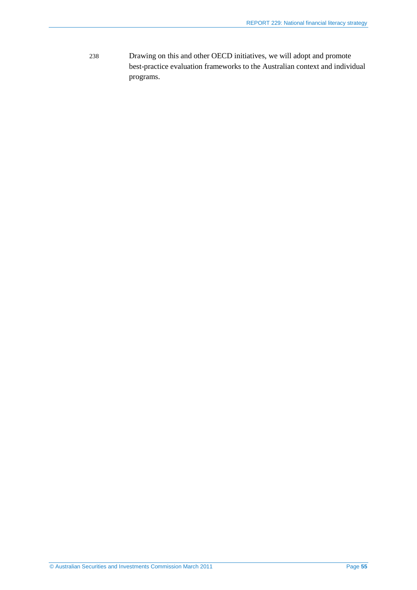238 Drawing on this and other OECD initiatives, we will adopt and promote best-practice evaluation frameworks to the Australian context and individual programs.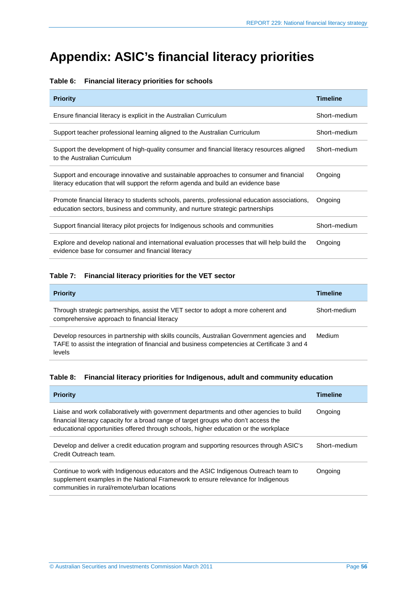## <span id="page-55-0"></span>**Appendix: ASIC's financial literacy priorities**

#### <span id="page-55-1"></span>**Table 6: Financial literacy priorities for schools**

| <b>Priority</b>                                                                                                                                                                | <b>Timeline</b> |
|--------------------------------------------------------------------------------------------------------------------------------------------------------------------------------|-----------------|
| Ensure financial literacy is explicit in the Australian Curriculum                                                                                                             | Short-medium    |
| Support teacher professional learning aligned to the Australian Curriculum                                                                                                     | Short-medium    |
| Support the development of high-quality consumer and financial literacy resources aligned<br>to the Australian Curriculum                                                      | Short-medium    |
| Support and encourage innovative and sustainable approaches to consumer and financial<br>literacy education that will support the reform agenda and build an evidence base     | Ongoing         |
| Promote financial literacy to students schools, parents, professional education associations,<br>education sectors, business and community, and nurture strategic partnerships | Ongoing         |
| Support financial literacy pilot projects for Indigenous schools and communities                                                                                               | Short-medium    |
| Explore and develop national and international evaluation processes that will help build the<br>evidence base for consumer and financial literacy                              | Ongoing         |

#### **Table 7: Financial literacy priorities for the VET sector**

| <b>Priority</b>                                                                                                                                                                                     | <b>Timeline</b> |
|-----------------------------------------------------------------------------------------------------------------------------------------------------------------------------------------------------|-----------------|
| Through strategic partnerships, assist the VET sector to adopt a more coherent and<br>comprehensive approach to financial literacy                                                                  | Short-medium    |
| Develop resources in partnership with skills councils, Australian Government agencies and<br>TAFE to assist the integration of financial and business competencies at Certificate 3 and 4<br>levels | Medium          |

#### <span id="page-55-2"></span>**Table 8: Financial literacy priorities for Indigenous, adult and community education**

| <b>Priority</b>                                                                                                                                                                                                                                                        | <b>Timeline</b> |
|------------------------------------------------------------------------------------------------------------------------------------------------------------------------------------------------------------------------------------------------------------------------|-----------------|
| Liaise and work collaboratively with government departments and other agencies to build<br>financial literacy capacity for a broad range of target groups who don't access the<br>educational opportunities offered through schools, higher education or the workplace | Ongoing         |
| Develop and deliver a credit education program and supporting resources through ASIC's<br>Credit Outreach team.                                                                                                                                                        | Short-medium    |
| Continue to work with Indigenous educators and the ASIC Indigenous Outreach team to<br>supplement examples in the National Framework to ensure relevance for Indigenous<br>communities in rural/remote/urban locations                                                 | Ongoing         |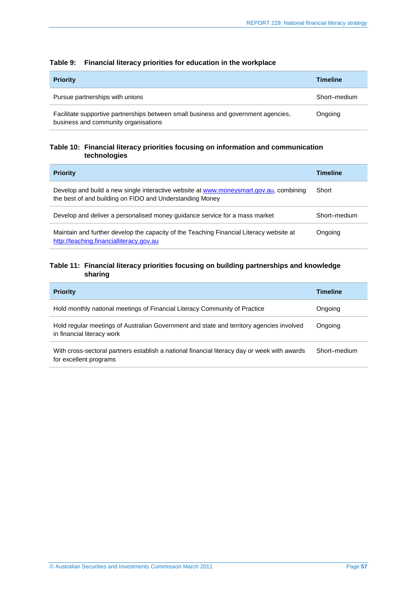| <b>Priority</b>                                                                                                            | <b>Timeline</b> |
|----------------------------------------------------------------------------------------------------------------------------|-----------------|
| Pursue partnerships with unions                                                                                            | Short-medium    |
| Facilitate supportive partnerships between small business and government agencies,<br>business and community organisations | Ongoing         |

#### **Table 9: Financial literacy priorities for education in the workplace**

#### **Table 10: Financial literacy priorities focusing on information and communication technologies**

| <b>Priority</b>                                                                                                                                    | <b>Timeline</b> |
|----------------------------------------------------------------------------------------------------------------------------------------------------|-----------------|
| Develop and build a new single interactive website at www.moneysmart.gov.au, combining<br>the best of and building on FIDO and Understanding Money | Short           |
| Develop and deliver a personalised money guidance service for a mass market                                                                        | Short-medium    |
| Maintain and further develop the capacity of the Teaching Financial Literacy website at<br>http://teaching.financialliteracy.gov.au                | Ongoing         |

#### **Table 11: Financial literacy priorities focusing on building partnerships and knowledge sharing**

| <b>Priority</b>                                                                                                        | <b>Timeline</b> |
|------------------------------------------------------------------------------------------------------------------------|-----------------|
| Hold monthly national meetings of Financial Literacy Community of Practice                                             | Ongoing         |
| Hold regular meetings of Australian Government and state and territory agencies involved<br>in financial literacy work | Ongoing         |
| With cross-sectoral partners establish a national financial literacy day or week with awards<br>for excellent programs | Short-medium    |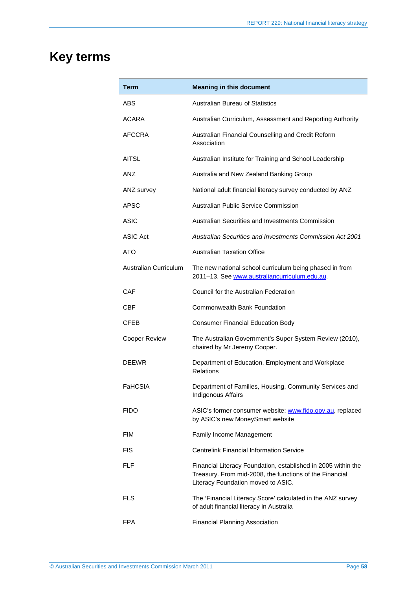## <span id="page-57-0"></span>**Key terms**

| Term                  | <b>Meaning in this document</b>                                                                                                                                |
|-----------------------|----------------------------------------------------------------------------------------------------------------------------------------------------------------|
| ABS                   | <b>Australian Bureau of Statistics</b>                                                                                                                         |
| ACARA                 | Australian Curriculum, Assessment and Reporting Authority                                                                                                      |
| AFCCRA                | Australian Financial Counselling and Credit Reform<br>Association                                                                                              |
| <b>AITSL</b>          | Australian Institute for Training and School Leadership                                                                                                        |
| ANZ                   | Australia and New Zealand Banking Group                                                                                                                        |
| ANZ survey            | National adult financial literacy survey conducted by ANZ                                                                                                      |
| APSC                  | Australian Public Service Commission                                                                                                                           |
| <b>ASIC</b>           | Australian Securities and Investments Commission                                                                                                               |
| ASIC Act              | <b>Australian Securities and Investments Commission Act 2001</b>                                                                                               |
| ATO                   | <b>Australian Taxation Office</b>                                                                                                                              |
| Australian Curriculum | The new national school curriculum being phased in from<br>2011-13. See www.australiancurriculum.edu.au.                                                       |
| <b>CAF</b>            | Council for the Australian Federation                                                                                                                          |
| CBF                   | <b>Commonwealth Bank Foundation</b>                                                                                                                            |
| <b>CFEB</b>           | <b>Consumer Financial Education Body</b>                                                                                                                       |
| <b>Cooper Review</b>  | The Australian Government's Super System Review (2010),<br>chaired by Mr Jeremy Cooper.                                                                        |
| <b>DEEWR</b>          | Department of Education, Employment and Workplace<br><b>Relations</b>                                                                                          |
| FaHCSIA               | Department of Families, Housing, Community Services and<br><b>Indigenous Affairs</b>                                                                           |
| <b>FIDO</b>           | ASIC's former consumer website: www.fido.gov.au, replaced<br>by ASIC's new MoneySmart website                                                                  |
| FIM                   | Family Income Management                                                                                                                                       |
| <b>FIS</b>            | <b>Centrelink Financial Information Service</b>                                                                                                                |
| FLF                   | Financial Literacy Foundation, established in 2005 within the<br>Treasury. From mid-2008, the functions of the Financial<br>Literacy Foundation moved to ASIC. |
| FLS                   | The 'Financial Literacy Score' calculated in the ANZ survey<br>of adult financial literacy in Australia                                                        |
| <b>FPA</b>            | <b>Financial Planning Association</b>                                                                                                                          |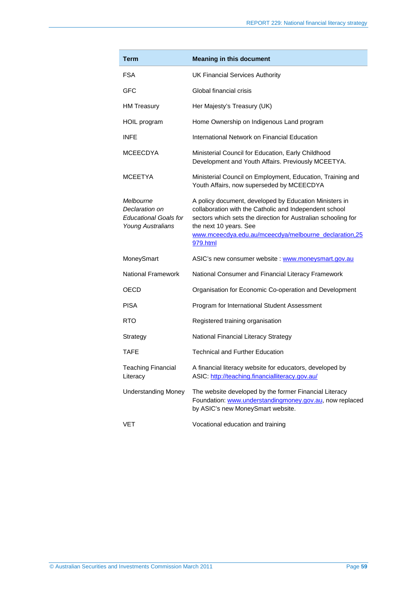| Term                                                                                    | <b>Meaning in this document</b>                                                                                                                                                                                                                                                  |
|-----------------------------------------------------------------------------------------|----------------------------------------------------------------------------------------------------------------------------------------------------------------------------------------------------------------------------------------------------------------------------------|
| <b>FSA</b>                                                                              | <b>UK Financial Services Authority</b>                                                                                                                                                                                                                                           |
| GFC                                                                                     | Global financial crisis                                                                                                                                                                                                                                                          |
| <b>HM Treasury</b>                                                                      | Her Majesty's Treasury (UK)                                                                                                                                                                                                                                                      |
| HOIL program                                                                            | Home Ownership on Indigenous Land program                                                                                                                                                                                                                                        |
| <b>INFE</b>                                                                             | International Network on Financial Education                                                                                                                                                                                                                                     |
| <b>MCEECDYA</b>                                                                         | Ministerial Council for Education, Early Childhood<br>Development and Youth Affairs. Previously MCEETYA.                                                                                                                                                                         |
| <b>MCEETYA</b>                                                                          | Ministerial Council on Employment, Education, Training and<br>Youth Affairs, now superseded by MCEECDYA                                                                                                                                                                          |
| Melbourne<br>Declaration on<br><b>Educational Goals for</b><br><b>Young Australians</b> | A policy document, developed by Education Ministers in<br>collaboration with the Catholic and Independent school<br>sectors which sets the direction for Australian schooling for<br>the next 10 years. See<br>www.mceecdya.edu.au/mceecdya/melbourne_declaration,25<br>979.html |
| MoneySmart                                                                              | ASIC's new consumer website : www.moneysmart.gov.au                                                                                                                                                                                                                              |
| <b>National Framework</b>                                                               | National Consumer and Financial Literacy Framework                                                                                                                                                                                                                               |
| OECD                                                                                    | Organisation for Economic Co-operation and Development                                                                                                                                                                                                                           |
| <b>PISA</b>                                                                             | Program for International Student Assessment                                                                                                                                                                                                                                     |
| RTO.                                                                                    | Registered training organisation                                                                                                                                                                                                                                                 |
| Strategy                                                                                | National Financial Literacy Strategy                                                                                                                                                                                                                                             |
| TAFF                                                                                    | <b>Technical and Further Education</b>                                                                                                                                                                                                                                           |
| <b>Teaching Financial</b><br>Literacy                                                   | A financial literacy website for educators, developed by<br>ASIC: http://teaching.financialliteracy.gov.au/                                                                                                                                                                      |
| <b>Understanding Money</b>                                                              | The website developed by the former Financial Literacy<br>Foundation: www.understandingmoney.gov.au, now replaced<br>by ASIC's new MoneySmart website.                                                                                                                           |
| VET                                                                                     | Vocational education and training                                                                                                                                                                                                                                                |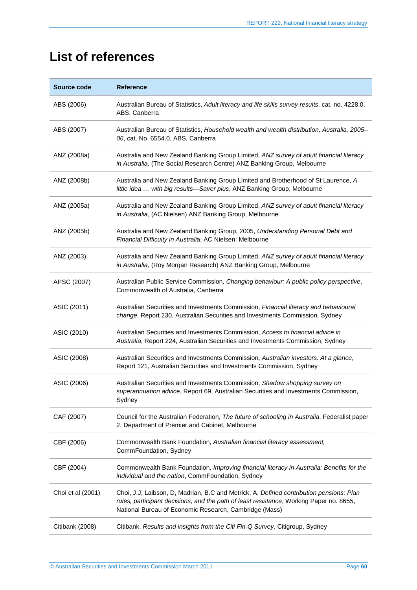## <span id="page-59-0"></span>**List of references**

| Source code       | <b>Reference</b>                                                                                                                                                                                                                             |
|-------------------|----------------------------------------------------------------------------------------------------------------------------------------------------------------------------------------------------------------------------------------------|
| ABS (2006)        | Australian Bureau of Statistics, Adult literacy and life skills survey results, cat. no. 4228.0,<br>ABS, Canberra                                                                                                                            |
| ABS (2007)        | Australian Bureau of Statistics, Household wealth and wealth distribution, Australia, 2005-<br>06, cat. No. 6554.0, ABS, Canberra                                                                                                            |
| ANZ (2008a)       | Australia and New Zealand Banking Group Limited, ANZ survey of adult financial literacy<br>in Australia, (The Social Research Centre) ANZ Banking Group, Melbourne                                                                           |
| ANZ (2008b)       | Australia and New Zealand Banking Group Limited and Brotherhood of St Laurence, A<br>little idea  with big results-Saver plus, ANZ Banking Group, Melbourne                                                                                  |
| ANZ (2005a)       | Australia and New Zealand Banking Group Limited, ANZ survey of adult financial literacy<br>in Australia, (AC Nielsen) ANZ Banking Group, Melbourne                                                                                           |
| ANZ (2005b)       | Australia and New Zealand Banking Group, 2005, Understanding Personal Debt and<br>Financial Difficulty in Australia, AC Nielsen: Melbourne                                                                                                   |
| ANZ (2003)        | Australia and New Zealand Banking Group Limited, ANZ survey of adult financial literacy<br>in Australia, (Roy Morgan Research) ANZ Banking Group, Melbourne                                                                                  |
| APSC (2007)       | Australian Public Service Commission, Changing behaviour: A public policy perspective,<br>Commonwealth of Australia, Canberra                                                                                                                |
| ASIC (2011)       | Australian Securities and Investments Commission, Financial literacy and behavioural<br>change, Report 230, Australian Securities and Investments Commission, Sydney                                                                         |
| ASIC (2010)       | Australian Securities and Investments Commission, Access to financial advice in<br>Australia, Report 224, Australian Securities and Investments Commission, Sydney                                                                           |
| ASIC (2008)       | Australian Securities and Investments Commission, Australian investors: At a glance,<br>Report 121, Australian Securities and Investments Commission, Sydney                                                                                 |
| ASIC (2006)       | Australian Securities and Investments Commission, Shadow shopping survey on<br>superannuation advice, Report 69, Australian Securities and Investments Commission,<br>Sydney                                                                 |
| CAF (2007)        | Council for the Australian Federation, The future of schooling in Australia, Federalist paper<br>2, Department of Premier and Cabinet, Melbourne                                                                                             |
| CBF (2006)        | Commonwealth Bank Foundation, Australian financial literacy assessment,<br>CommFoundation, Sydney                                                                                                                                            |
| CBF (2004)        | Commonwealth Bank Foundation, Improving financial literacy in Australia: Benefits for the<br>individual and the nation, CommFoundation, Sydney                                                                                               |
| Choi et al (2001) | Choi, J.J, Laibson, D, Madrian, B.C and Metrick, A, Defined contribution pensions: Plan<br>rules, participant decisions, and the path of least resistance, Working Paper no. 8655,<br>National Bureau of Economic Research, Cambridge (Mass) |
| Citibank (2008)   | Citibank, Results and insights from the Citi Fin-Q Survey, Citigroup, Sydney                                                                                                                                                                 |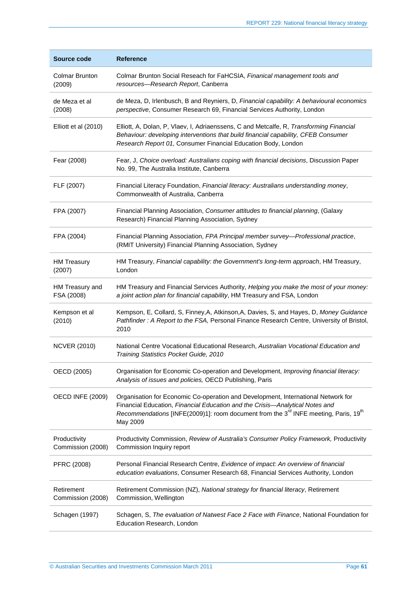| Source code                       | <b>Reference</b>                                                                                                                                                                                                                                                                   |
|-----------------------------------|------------------------------------------------------------------------------------------------------------------------------------------------------------------------------------------------------------------------------------------------------------------------------------|
| <b>Colmar Brunton</b><br>(2009)   | Colmar Brunton Social Reseach for FaHCSIA, Finanical management tools and<br>resources-Research Report, Canberra                                                                                                                                                                   |
| de Meza et al<br>(2008)           | de Meza, D, Irlenbusch, B and Reyniers, D, Financial capability: A behavioural economics<br>perspective, Consumer Research 69, Financial Services Authority, London                                                                                                                |
| Elliott et al (2010)              | Elliott, A, Dolan, P, Vlaev, I, Adriaenssens, C and Metcalfe, R, Transforming Financial<br>Behaviour: developing interventions that build financial capability, CFEB Consumer<br>Research Report 01, Consumer Financial Education Body, London                                     |
| Fear (2008)                       | Fear, J, Choice overload: Australians coping with financial decisions, Discussion Paper<br>No. 99, The Australia Institute, Canberra                                                                                                                                               |
| FLF (2007)                        | Financial Literacy Foundation, Financial literacy: Australians understanding money,<br>Commonwealth of Australia, Canberra                                                                                                                                                         |
| FPA (2007)                        | Financial Planning Association, Consumer attitudes to financial planning, (Galaxy<br>Research) Financial Planning Association, Sydney                                                                                                                                              |
| FPA (2004)                        | Financial Planning Association, FPA Principal member survey—Professional practice,<br>(RMIT University) Financial Planning Association, Sydney                                                                                                                                     |
| <b>HM Treasury</b><br>(2007)      | HM Treasury, Financial capability: the Government's long-term approach, HM Treasury,<br>London                                                                                                                                                                                     |
| HM Treasury and<br>FSA (2008)     | HM Treasury and Financial Services Authority, Helping you make the most of your money:<br>a joint action plan for financial capability, HM Treasury and FSA, London                                                                                                                |
| Kempson et al<br>(2010)           | Kempson, E, Collard, S, Finney, A, Atkinson, A, Davies, S, and Hayes, D, Money Guidance<br>Pathfinder: A Report to the FSA, Personal Finance Research Centre, University of Bristol,<br>2010                                                                                       |
| <b>NCVER (2010)</b>               | National Centre Vocational Educational Research, Australian Vocational Education and<br>Training Statistics Pocket Guide, 2010                                                                                                                                                     |
| OECD (2005)                       | Organisation for Economic Co-operation and Development, Improving financial literacy:<br>Analysis of issues and policies, OECD Publishing, Paris                                                                                                                                   |
| <b>OECD INFE (2009)</b>           | Organisation for Economic Co-operation and Development, International Network for<br>Financial Education, Financial Education and the Crisis-Analytical Notes and<br>Recommendations [INFE(2009)1]: room document from the $3rd$ INFE meeting, Paris, 19 <sup>th</sup><br>May 2009 |
| Productivity<br>Commission (2008) | Productivity Commission, Review of Australia's Consumer Policy Framework, Productivity<br>Commission Inquiry report                                                                                                                                                                |
| PFRC (2008)                       | Personal Financial Research Centre, Evidence of impact: An overview of financial<br>education evaluations, Consumer Research 68, Financial Services Authority, London                                                                                                              |
| Retirement<br>Commission (2008)   | Retirement Commission (NZ), National strategy for financial literacy, Retirement<br>Commission, Wellington                                                                                                                                                                         |
| Schagen (1997)                    | Schagen, S, The evaluation of Natwest Face 2 Face with Finance, National Foundation for<br>Education Research, London                                                                                                                                                              |